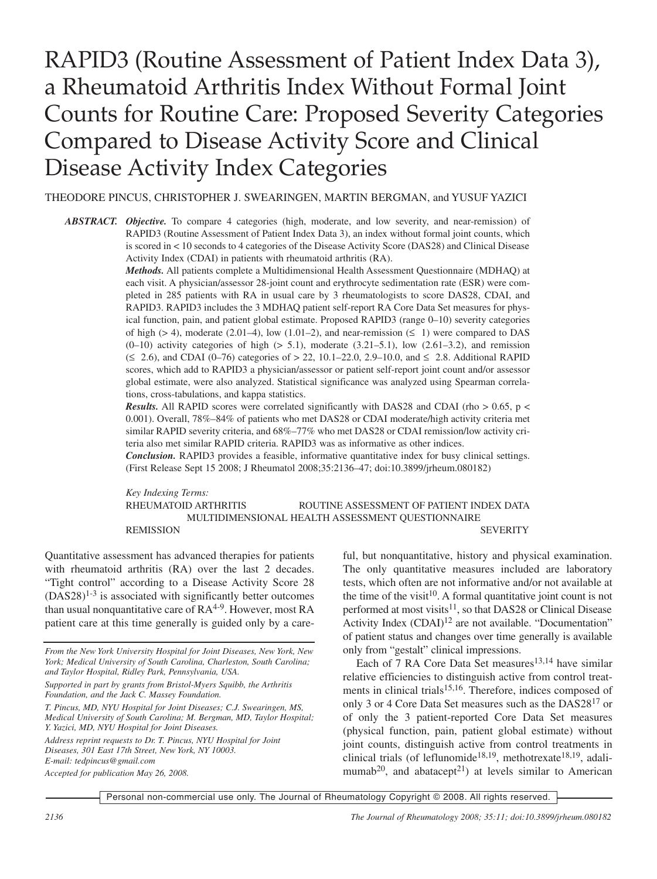# RAPID3 (Routine Assessment of Patient Index Data 3), a Rheumatoid Arthritis Index Without Formal Joint Counts for Routine Care: Proposed Severity Categories Compared to Disease Activity Score and Clinical Disease Activity Index Categories

THEODORE PINCUS, CHRISTOPHER J. SWEARINGEN, MARTIN BERGMAN, and YUSUF YAZICI

*ABSTRACT. Objective.* To compare 4 categories (high, moderate, and low severity, and near-remission) of RAPID3 (Routine Assessment of Patient Index Data 3), an index without formal joint counts, which is scored in < 10 seconds to 4 categories of the Disease Activity Score (DAS28) and Clinical Disease Activity Index (CDAI) in patients with rheumatoid arthritis (RA).

> *Methods.* All patients complete a Multidimensional Health Assessment Questionnaire (MDHAQ) at each visit. A physician/assessor 28-joint count and erythrocyte sedimentation rate (ESR) were completed in 285 patients with RA in usual care by 3 rheumatologists to score DAS28, CDAI, and RAPID3. RAPID3 includes the 3 MDHAQ patient self-report RA Core Data Set measures for physical function, pain, and patient global estimate. Proposed RAPID3 (range 0–10) severity categories of high ( $> 4$ ), moderate (2.01–4), low (1.01–2), and near-remission ( $\leq 1$ ) were compared to DAS  $(0-10)$  activity categories of high  $(> 5.1)$ , moderate  $(3.21-5.1)$ , low  $(2.61-3.2)$ , and remission (≤ 2.6), and CDAI (0–76) categories of > 22, 10.1–22.0, 2.9–10.0, and ≤ 2.8. Additional RAPID scores, which add to RAPID3 a physician/assessor or patient self-report joint count and/or assessor global estimate, were also analyzed. Statistical significance was analyzed using Spearman correlations, cross-tabulations, and kappa statistics.

> *Results.* All RAPID scores were correlated significantly with DAS28 and CDAI (rho  $> 0.65$ , p < 0.001). Overall, 78%–84% of patients who met DAS28 or CDAI moderate/high activity criteria met similar RAPID severity criteria, and 68%–77% who met DAS28 or CDAI remission/low activity criteria also met similar RAPID criteria. RAPID3 was as informative as other indices.

> *Conclusion.* RAPID3 provides a feasible, informative quantitative index for busy clinical settings. (First Release Sept 15 2008; J Rheumatol 2008;35:2136–47; doi:10.3899/jrheum.080182)

> *Key Indexing Terms:* RHEUMATOID ARTHRITIS ROUTINE ASSESSMENT OF PATIENT INDEX DATA MULTIDIMENSIONAL HEALTH ASSESSMENT QUESTIONNAIRE REMISSION SEVERITY

Quantitative assessment has advanced therapies for patients with rheumatoid arthritis (RA) over the last 2 decades. "Tight control" according to a Disease Activity Score 28  $(DAS28)^{1-3}$  is associated with significantly better outcomes than usual nonquantitative care of RA<sup>4-9</sup>. However, most RA patient care at this time generally is guided only by a care-

*T. Pincus, MD, NYU Hospital for Joint Diseases; C.J. Swearingen, MS, Medical University of South Carolina; M. Bergman, MD, Taylor Hospital; Y. Yazici, MD, NYU Hospital for Joint Diseases.*

*Accepted for publication May 26, 2008.*

ful, but nonquantitative, history and physical examination. The only quantitative measures included are laboratory tests, which often are not informative and/or not available at the time of the visit<sup>10</sup>. A formal quantitative joint count is not performed at most visits<sup>11</sup>, so that DAS28 or Clinical Disease Activity Index (CDAI)<sup>12</sup> are not available. "Documentation" of patient status and changes over time generally is available only from "gestalt" clinical impressions.

Each of 7 RA Core Data Set measures<sup>13,14</sup> have similar relative efficiencies to distinguish active from control treatments in clinical trials<sup>15,16</sup>. Therefore, indices composed of only 3 or 4 Core Data Set measures such as the DAS28<sup>17</sup> or of only the 3 patient-reported Core Data Set measures (physical function, pain, patient global estimate) without joint counts, distinguish active from control treatments in clinical trials (of leflunomide<sup>18,19</sup>, methotrexate<sup>18,19</sup>, adalimumab<sup>20</sup>, and abatacept<sup>21</sup>) at levels similar to American

*From the New York University Hospital for Joint Diseases, New York, New York; Medical University of South Carolina, Charleston, South Carolina; and Taylor Hospital, Ridley Park, Pennsylvania, USA.*

*Supported in part by grants from Bristol-Myers Squibb, the Arthritis Foundation, and the Jack C. Massey Foundation.*

*Address reprint requests to Dr. T. Pincus, NYU Hospital for Joint Diseases, 301 East 17th Street, New York, NY 10003. E-mail: tedpincus@gmail.com*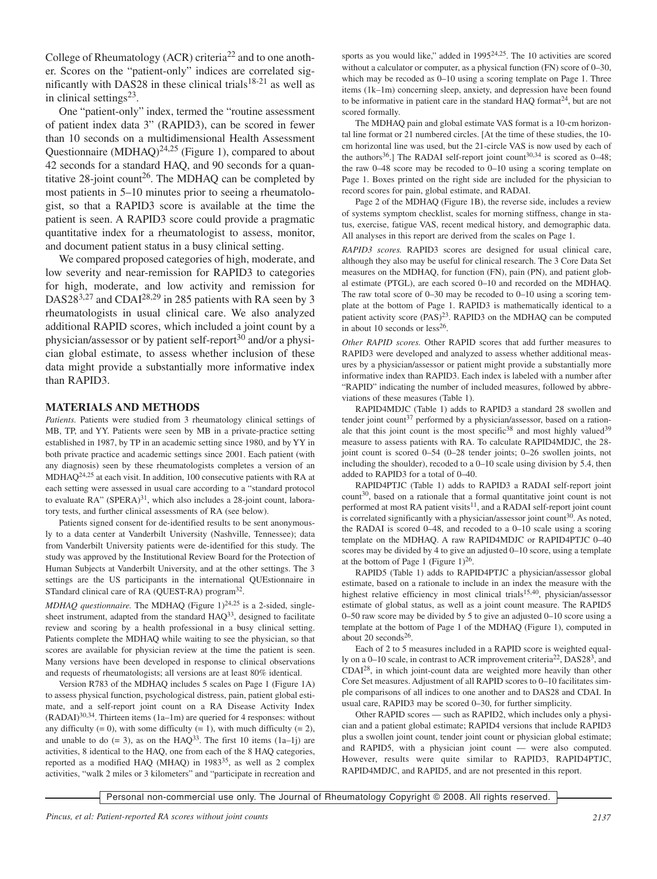College of Rheumatology (ACR) criteria<sup>22</sup> and to one another. Scores on the "patient-only" indices are correlated significantly with DAS28 in these clinical trials $18-21$  as well as in clinical settings $23$ .

One "patient-only" index, termed the "routine assessment of patient index data 3" (RAPID3), can be scored in fewer than 10 seconds on a multidimensional Health Assessment Questionnaire (MDHAQ) $^{24,25}$  (Figure 1), compared to about 42 seconds for a standard HAQ, and 90 seconds for a quantitative 28-joint count<sup>26</sup>. The MDHAQ can be completed by most patients in 5–10 minutes prior to seeing a rheumatologist, so that a RAPID3 score is available at the time the patient is seen. A RAPID3 score could provide a pragmatic quantitative index for a rheumatologist to assess, monitor, and document patient status in a busy clinical setting.

We compared proposed categories of high, moderate, and low severity and near-remission for RAPID3 to categories for high, moderate, and low activity and remission for DAS28<sup>3,27</sup> and CDAI<sup>28,29</sup> in 285 patients with RA seen by 3 rheumatologists in usual clinical care. We also analyzed additional RAPID scores, which included a joint count by a physician/assessor or by patient self-report<sup>30</sup> and/or a physician global estimate, to assess whether inclusion of these data might provide a substantially more informative index than RAPID3.

#### **MATERIALS AND METHODS**

*Patients.* Patients were studied from 3 rheumatology clinical settings of MB, TP, and YY. Patients were seen by MB in a private-practice setting established in 1987, by TP in an academic setting since 1980, and by YY in both private practice and academic settings since 2001. Each patient (with any diagnosis) seen by these rheumatologists completes a version of an MDHAQ24,25 at each visit. In addition, 100 consecutive patients with RA at each setting were assessed in usual care according to a "standard protocol to evaluate  $RA$ " (SPERA)<sup>31</sup>, which also includes a 28-joint count, laboratory tests, and further clinical assessments of RA (see below).

Patients signed consent for de-identified results to be sent anonymously to a data center at Vanderbilt University (Nashville, Tennessee); data from Vanderbilt University patients were de-identified for this study. The study was approved by the Institutional Review Board for the Protection of Human Subjects at Vanderbilt University, and at the other settings. The 3 settings are the US participants in the international QUEstionnaire in STandard clinical care of RA (QUEST-RA) program<sup>32</sup>.

*MDHAQ questionnaire*. The MDHAQ (Figure 1)<sup>24,25</sup> is a 2-sided, singlesheet instrument, adapted from the standard  $HAQ^{33}$ , designed to facilitate review and scoring by a health professional in a busy clinical setting. Patients complete the MDHAQ while waiting to see the physician, so that scores are available for physician review at the time the patient is seen. Many versions have been developed in response to clinical observations and requests of rheumatologists; all versions are at least 80% identical.

Version R783 of the MDHAQ includes 5 scales on Page 1 (Figure 1A) to assess physical function, psychological distress, pain, patient global estimate, and a self-report joint count on a RA Disease Activity Index (RADAI)30,34. Thirteen items (1a–1m) are queried for 4 responses: without any difficulty  $(= 0)$ , with some difficulty  $(= 1)$ , with much difficulty  $(= 2)$ , and unable to do  $(= 3)$ , as on the HAQ<sup>33</sup>. The first 10 items  $(1a-1j)$  are activities, 8 identical to the HAQ, one from each of the 8 HAQ categories, reported as a modified HAQ (MHAQ) in 1983<sup>35</sup>, as well as 2 complex activities, "walk 2 miles or 3 kilometers" and "participate in recreation and sports as you would like," added in  $1995^{24,25}$ . The 10 activities are scored without a calculator or computer, as a physical function (FN) score of 0–30, which may be recoded as 0–10 using a scoring template on Page 1. Three items (1k–1m) concerning sleep, anxiety, and depression have been found to be informative in patient care in the standard HAQ format<sup>24</sup>, but are not scored formally.

The MDHAQ pain and global estimate VAS format is a 10-cm horizontal line format or 21 numbered circles. [At the time of these studies, the 10 cm horizontal line was used, but the 21-circle VAS is now used by each of the authors<sup>36</sup>.] The RADAI self-report joint count<sup>30,34</sup> is scored as  $0-48$ ; the raw 0–48 score may be recoded to 0–10 using a scoring template on Page 1. Boxes printed on the right side are included for the physician to record scores for pain, global estimate, and RADAI.

Page 2 of the MDHAQ (Figure 1B), the reverse side, includes a review of systems symptom checklist, scales for morning stiffness, change in status, exercise, fatigue VAS, recent medical history, and demographic data. All analyses in this report are derived from the scales on Page 1.

*RAPID3 scores.* RAPID3 scores are designed for usual clinical care, although they also may be useful for clinical research. The 3 Core Data Set measures on the MDHAQ, for function (FN), pain (PN), and patient global estimate (PTGL), are each scored 0–10 and recorded on the MDHAQ. The raw total score of 0–30 may be recoded to 0–10 using a scoring template at the bottom of Page 1. RAPID3 is mathematically identical to a patient activity score  $(PAS)^{23}$ . RAPID3 on the MDHAQ can be computed in about 10 seconds or  $less^{26}$ .

*Other RAPID scores.* Other RAPID scores that add further measures to RAPID3 were developed and analyzed to assess whether additional measures by a physician/assessor or patient might provide a substantially more informative index than RAPID3. Each index is labeled with a number after "RAPID" indicating the number of included measures, followed by abbreviations of these measures (Table 1).

RAPID4MDJC (Table 1) adds to RAPID3 a standard 28 swollen and tender joint count<sup>37</sup> performed by a physician/assessor, based on a rationale that this joint count is the most specific<sup>38</sup> and most highly valued<sup>39</sup> measure to assess patients with RA. To calculate RAPID4MDJC, the 28 joint count is scored 0–54 (0–28 tender joints; 0–26 swollen joints, not including the shoulder), recoded to a 0–10 scale using division by 5.4, then added to RAPID3 for a total of 0–40.

RAPID4PTJC (Table 1) adds to RAPID3 a RADAI self-report joint count 30, based on a rationale that a formal quantitative joint count is not performed at most RA patient visits<sup>11</sup>, and a RADAI self-report joint count is correlated significantly with a physician/assessor joint count<sup>30</sup>. As noted, the RADAI is scored 0–48, and recoded to a 0–10 scale using a scoring template on the MDHAQ. A raw RAPID4MDJC or RAPID4PTJC 0–40 scores may be divided by 4 to give an adjusted 0–10 score, using a template at the bottom of Page 1 (Figure  $1)^{26}$ .

RAPID5 (Table 1) adds to RAPID4PTJC a physician/assessor global estimate, based on a rationale to include in an index the measure with the highest relative efficiency in most clinical trials<sup>15,40</sup>, physician/assessor estimate of global status, as well as a joint count measure. The RAPID5 0–50 raw score may be divided by 5 to give an adjusted 0–10 score using a template at the bottom of Page 1 of the MDHAQ (Figure 1), computed in about 20 seconds $26$ .

Each of 2 to 5 measures included in a RAPID score is weighted equally on a 0–10 scale, in contrast to ACR improvement criteria<sup>22</sup>, DAS28<sup>3</sup>, and CDAI28, in which joint-count data are weighted more heavily than other Core Set measures. Adjustment of all RAPID scores to 0–10 facilitates simple comparisons of all indices to one another and to DAS28 and CDAI. In usual care, RAPID3 may be scored 0–30, for further simplicity.

Other RAPID scores — such as RAPID2, which includes only a physician and a patient global estimate; RAPID4 versions that include RAPID3 plus a swollen joint count, tender joint count or physician global estimate; and RAPID5, with a physician joint count — were also computed. However, results were quite similar to RAPID3, RAPID4PTJC, RAPID4MDJC, and RAPID5, and are not presented in this report.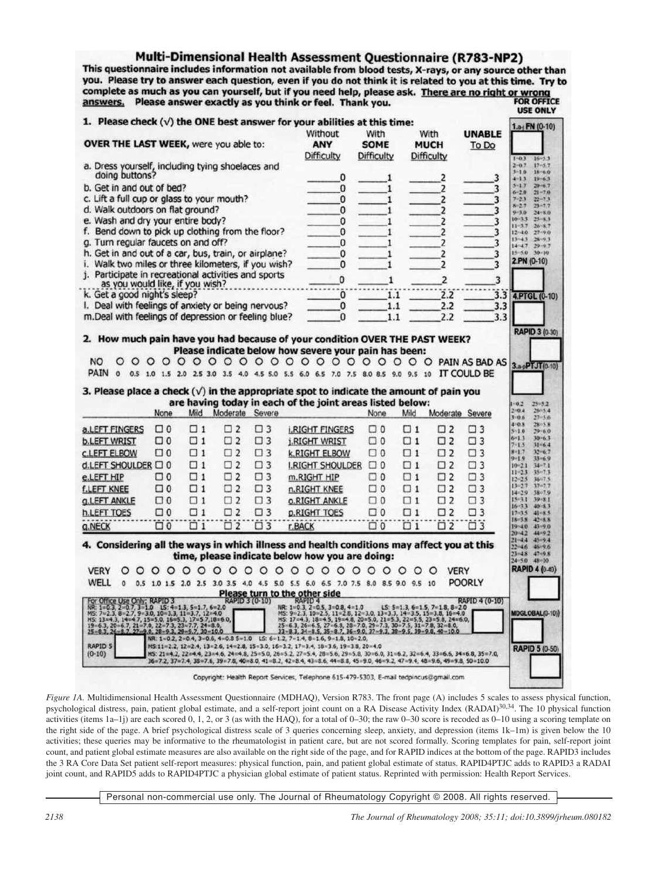# Multi-Dimensional Health Assessment Questionnaire (R783-NP2)

This questionnaire includes information not available from blood tests, X-rays, or any source other than you. Please try to answer each question, even if you do not think it is related to you at this time. Try to you. Please try to answer each question, even if you do not think it is related to you at this time. Try to complete as much as you can yourself, but if you need help, please ask. There are no right or wrong<br>answers. Pleas answers. Please answer exactly as you think or feel. Thank you.

| 1. Please check $(\sqrt{})$ the ONE best answer for your abilities at this time:                                                                                                                                                           |          |          |                      |             |                                                                                                                                                                                                                                                                                                  |             |                                  |                  |                  | $1.9$ FN (0-10)                                      |
|--------------------------------------------------------------------------------------------------------------------------------------------------------------------------------------------------------------------------------------------|----------|----------|----------------------|-------------|--------------------------------------------------------------------------------------------------------------------------------------------------------------------------------------------------------------------------------------------------------------------------------------------------|-------------|----------------------------------|------------------|------------------|------------------------------------------------------|
|                                                                                                                                                                                                                                            |          |          |                      |             | Without                                                                                                                                                                                                                                                                                          | With        | With                             |                  | <b>UNABLE</b>    |                                                      |
| <b>OVER THE LAST WEEK, were you able to:</b>                                                                                                                                                                                               |          |          |                      |             | ANY                                                                                                                                                                                                                                                                                              | <b>SOME</b> | <b>MUCH</b>                      |                  | To Do            |                                                      |
|                                                                                                                                                                                                                                            |          |          |                      |             | Difficulty                                                                                                                                                                                                                                                                                       | Difficulty  | Difficulty                       |                  |                  | $16 - 53$<br>$1 - 0.3$                               |
| a. Dress yourself, including tying shoelaces and<br>doing buttons?                                                                                                                                                                         |          |          |                      |             |                                                                                                                                                                                                                                                                                                  |             |                                  |                  |                  | $2 - 0.7$<br>$17 - 5.7$<br>$3 - 10$<br>$18 - 6.0$    |
|                                                                                                                                                                                                                                            |          |          |                      |             | 0                                                                                                                                                                                                                                                                                                | 1           |                                  | 2                | 3                | $4 - 1.3$<br>$19 - 63$<br>$5 - 17$<br>$20 - 6.7$     |
| b. Get in and out of bed?                                                                                                                                                                                                                  |          |          |                      |             | 0                                                                                                                                                                                                                                                                                                | 1           |                                  | 2                | 3                | $21 - 7.0$<br>$6 - 2.0$                              |
| c. Lift a full cup or glass to your mouth?                                                                                                                                                                                                 |          |          |                      |             | 0                                                                                                                                                                                                                                                                                                | 1           |                                  | 2                | 3                | $7 + 2.3$<br>$22 - 7.3$<br>$8 - 2.7$<br>$23 + 7.7$   |
| d. Walk outdoors on flat ground?                                                                                                                                                                                                           |          |          |                      |             | 0                                                                                                                                                                                                                                                                                                | 1           |                                  | 2                | 3                | $9 - 30$<br>$24 - 8.0$<br>$10 - 3.3$<br>$25 - 8.3$   |
| e. Wash and dry your entire body?                                                                                                                                                                                                          |          |          |                      |             | 0                                                                                                                                                                                                                                                                                                | 1           |                                  | 2                | 3                | $11 - 3.7$<br>$26 - 8.7$                             |
| f. Bend down to pick up clothing from the floor?                                                                                                                                                                                           |          |          |                      |             | 0                                                                                                                                                                                                                                                                                                | 1           |                                  | 2                | 3                | $12 - 4.0$<br>27.90<br>$13 - 4.3$<br>28:9.3          |
| g. Turn regular faucets on and off?                                                                                                                                                                                                        |          |          |                      |             | 0                                                                                                                                                                                                                                                                                                | 1           |                                  | 2                | 3                | 14:4.7.<br>$29 - 9.7$<br>$15 - 5.0$<br>$30 - 10$     |
| h. Get in and out of a car, bus, train, or airplane?<br>i. Walk two miles or three kilometers, if you wish?                                                                                                                                |          |          |                      |             | 0                                                                                                                                                                                                                                                                                                | 1           |                                  | $\overline{c}$   | 3                | 2.PN (0-10)                                          |
| j. Participate in recreational activities and sports                                                                                                                                                                                       |          |          |                      |             | 0                                                                                                                                                                                                                                                                                                | 1           |                                  | 2                | 3                |                                                      |
| as you would like, if you wish?                                                                                                                                                                                                            |          |          |                      |             | 0                                                                                                                                                                                                                                                                                                | 1           |                                  | $\overline{2}$   | 3                |                                                      |
| k. Get a good night's sleep?                                                                                                                                                                                                               |          |          |                      |             | 0                                                                                                                                                                                                                                                                                                | 1.1         |                                  | $\overline{2.2}$ | $3.\overline{3}$ | 4.PTGL (0-10)                                        |
| I. Deal with feelings of anxiety or being nervous?                                                                                                                                                                                         |          |          |                      |             | 0                                                                                                                                                                                                                                                                                                | 1.1         |                                  | 2.2              | 3.3              |                                                      |
| m.Deal with feelings of depression or feeling blue?                                                                                                                                                                                        |          |          |                      |             | 0                                                                                                                                                                                                                                                                                                | 1.1         |                                  | 2.2              | 3.3              |                                                      |
|                                                                                                                                                                                                                                            |          |          |                      |             |                                                                                                                                                                                                                                                                                                  |             |                                  |                  |                  |                                                      |
|                                                                                                                                                                                                                                            |          |          |                      |             | 2. How much pain have you had because of your condition OVER THE PAST WEEK?                                                                                                                                                                                                                      |             |                                  |                  |                  | RAPID 3 (0-30)                                       |
|                                                                                                                                                                                                                                            |          |          |                      |             | Please indicate below how severe your pain has been:                                                                                                                                                                                                                                             |             |                                  |                  |                  |                                                      |
| <b>NO</b>                                                                                                                                                                                                                                  |          |          |                      |             | 0000000000000000000000PAIN AS BAD AS                                                                                                                                                                                                                                                             |             |                                  |                  |                  |                                                      |
| PAIN 0                                                                                                                                                                                                                                     |          |          |                      |             | 0.5 1.0 1.5 2.0 2.5 3.0 3.5 4.0 4.5 5.0 5.5 6.0 6.5 7.0 7.5 8.0 8.5 9.0 9.5 10 IT COULD BE                                                                                                                                                                                                       |             |                                  |                  |                  | 3.apPTJT(0-10)                                       |
|                                                                                                                                                                                                                                            |          |          |                      |             |                                                                                                                                                                                                                                                                                                  |             |                                  |                  |                  |                                                      |
|                                                                                                                                                                                                                                            |          |          |                      |             |                                                                                                                                                                                                                                                                                                  |             |                                  |                  |                  |                                                      |
|                                                                                                                                                                                                                                            |          |          |                      |             | 3. Please place a check $(\sqrt{})$ in the appropriate spot to indicate the amount of pain you                                                                                                                                                                                                   |             |                                  |                  |                  |                                                      |
|                                                                                                                                                                                                                                            |          |          |                      |             | are having today in each of the joint areas listed below:                                                                                                                                                                                                                                        |             |                                  |                  |                  | $1 - 0.2$<br>$25 - 5.2$                              |
|                                                                                                                                                                                                                                            | None     |          | Mild Moderate Severe |             |                                                                                                                                                                                                                                                                                                  | None        | Mild                             | Moderate Severe  |                  | $2 - 0.4$<br>2605.4<br>$3 - 0.6$<br>$27 - 56$        |
|                                                                                                                                                                                                                                            | $\Box$ 0 | $\Box$ 1 | $\square$ 2          | $\square$ 3 | <b>I.RIGHT FINGERS</b>                                                                                                                                                                                                                                                                           | $\Box$ 0    | $\Box$ 1                         | $\square$ 2      | $\square$ 3      | 4:0.8<br>$28 - 5.8$<br>5/1.0                         |
|                                                                                                                                                                                                                                            | □ 0      | $\Box$ 1 | $\square$ 2          | $\square$ 3 |                                                                                                                                                                                                                                                                                                  | $\Box$ 0    | $\Box$ 1                         | $\square$ 2      | $\square$ 3      | 29.60<br>$6 - 1.3$<br>$30 - 63$                      |
|                                                                                                                                                                                                                                            |          |          |                      |             | <b>j.RIGHT WRIST</b>                                                                                                                                                                                                                                                                             |             |                                  |                  |                  | $7 - 1.5$<br>31-64<br>$8 - 1.7$<br>$32 - 6.7$        |
|                                                                                                                                                                                                                                            | $\Box$ 0 | $\Box$ 1 | $\square$ 2          | $\square$ 3 | <b>k.RIGHT ELBOW</b>                                                                                                                                                                                                                                                                             | $\Box$ 0    | $\Box$ 1                         | $\Box$ 2         | $\square$ 3      | $9 - 1.9$<br>$33 - 6.9$                              |
|                                                                                                                                                                                                                                            |          | $\Box$ 1 | $\square$ 2          | $\square$ 3 | <b>I.RIGHT SHOULDER</b>                                                                                                                                                                                                                                                                          | $\Box$ 0    | $\Box$ 1                         | $\square$ 2      | $\square$ 3      | $10 - 2.1$<br>$34 - 7.1$<br>$35 - 7.3$<br>$11 - 2.3$ |
|                                                                                                                                                                                                                                            | $\Box$ 0 | $\Box$ 1 | $\square$ 2          | $\square$ 3 | m.RIGHT HIP                                                                                                                                                                                                                                                                                      | $\Box$ 0    | $\Box$ 1                         | $\square$ 2      | $\square$ 3      | $12 - 23$<br>3647.5<br>17.7.7                        |
| a.LEFT FINGERS<br><b>b.LEFT WRIST</b><br><b>C.LEFT ELBOW</b><br>d.LEFT SHOULDER C 0<br>e.LEFT HIP<br><b>f.LEFT KNEE</b>                                                                                                                    | $\Box$ 0 | $\Box$ 1 | $\square$ 2          | $\square$ 3 | n.RIGHT KNEE                                                                                                                                                                                                                                                                                     | $\Box$ 0    | $\square$ 1                      | $\square$ 2      | $\square$ 3      | $13 - 2.7$<br>$14 - 2.9$<br>38-7.9                   |
|                                                                                                                                                                                                                                            | □ 0      | $\Box$ 1 | $\square$ 2          | $\square$ 3 | <b><i>O.RIGHT ANKLE</i></b>                                                                                                                                                                                                                                                                      | $\Box$ 0    | $\Box$ 1                         | $\square$ 2      | $\square$ 3      | 15+3.3<br>39-8.1<br>$16 - 33$<br>40.83               |
|                                                                                                                                                                                                                                            | □ 0      | $\Box$ 1 | $\square$ 2          | $\square$ 3 | p.RIGHT TOES                                                                                                                                                                                                                                                                                     | $\Box$ 0    | $\Box$ 1                         | $\square$ 2      | $\square$ 3      | $17 - 3.5$<br>$41 - 8.5$                             |
|                                                                                                                                                                                                                                            | ΰö       | ΰï       | Ü2                   | Ü3          | r.BACK                                                                                                                                                                                                                                                                                           | $\Box$ 0    | ΰï                               | Ö <sub>2</sub>   | Ö3               | $18 - 3.8$<br>$42 - 8.8$<br>$19 - 4.0$<br>43-9.0     |
|                                                                                                                                                                                                                                            |          |          |                      |             |                                                                                                                                                                                                                                                                                                  |             |                                  |                  |                  | $20 - 4.2$<br>44-92                                  |
|                                                                                                                                                                                                                                            |          |          |                      |             | 4. Considering all the ways in which illness and health conditions may affect you at this                                                                                                                                                                                                        |             |                                  |                  |                  | $21 - 4.4$<br>45-9.4<br>$22 - 4.6$<br>46-9.6         |
|                                                                                                                                                                                                                                            |          |          |                      |             | time, please indicate below how you are doing:                                                                                                                                                                                                                                                   |             |                                  |                  |                  | $23 - 48$ $47 - 9.8$<br>$24 - 5.0$ $48 - 10$         |
| <b>VERY</b><br>O                                                                                                                                                                                                                           |          |          |                      |             | 0 0 0 0 0 0 0 0 0 0 0 0 0 0 0 0 0 0 0 0                                                                                                                                                                                                                                                          |             |                                  | <b>VERY</b>      |                  | <b>RAPID 4 (0-40)</b>                                |
| WELL<br>o                                                                                                                                                                                                                                  |          |          |                      |             |                                                                                                                                                                                                                                                                                                  |             |                                  |                  | <b>POORLY</b>    |                                                      |
|                                                                                                                                                                                                                                            |          |          |                      |             | 0.5 1.0 1.5 2.0 2.5 3.0 3.5 4.0 4.5 5.0 5.5 6.0 6.5 7.0 7.5 8.0 8.5 9.0 9.5 10                                                                                                                                                                                                                   |             |                                  |                  |                  |                                                      |
| <b>G.LEFT ANKLE</b><br><b>h.LEFT TOES</b><br><b>Q.NECK</b>                                                                                                                                                                                 |          |          |                      |             | Please turn to the other side<br>RAPID 3 (0-10) RAPID 4                                                                                                                                                                                                                                          |             |                                  |                  | RAPID 4 (0-10)   |                                                      |
|                                                                                                                                                                                                                                            |          |          |                      |             | NR: 1=0.3, 2=0.5, 3=0.8, 4=1.0                                                                                                                                                                                                                                                                   |             | $LS: 5=1.3, 6=1.5, 7=1.8, 8=2.0$ |                  |                  | MDGLOBAL(0-10))                                      |
|                                                                                                                                                                                                                                            |          |          |                      |             |                                                                                                                                                                                                                                                                                                  |             |                                  |                  |                  |                                                      |
| For Office Use Only: RAPID 3<br>NR: 1=0.3, 2=0.7, 3=1.0 LS: 4=1.3, 5=1.7, 6=2.0<br>NS: 7=2.3, 8=2.7, 9=3.0, 10=3.3, 11=3.7, 12=4.0<br>NS: 13=4.3, 14=4.7, 15=5.0, 16=5.3, 17=5.7,18=6.0,<br>19=6.3, 26=8.7, 21=7.0, 22=7.3, 23=7.7, 24=8.0 |          |          |                      |             | WS: 9-2.3, 10-2.5, 11-2.8, 12-3.0, 13-3.3, 14-3.5, 15-3.8, 16-4.0<br>WS: 9-2.3, 10-2.5, 11-2.8, 12-3.0, 13-3.3, 12-3.5, 15-3.8, 16-4.0<br>25-6.3, 26-6.5, 27-6.8, 28-7.0, 29-7.3, 30-7.5, 31-7.8, 32-6.0,<br>33-8.1, 34-8.5, 35-8.7, 36                                                          |             |                                  |                  |                  |                                                      |
| <b>RAPID 5</b><br>$(0-10)$                                                                                                                                                                                                                 |          |          |                      |             | NR: 1=0.2, 2=0.4, 3=0.6, 4=0.8 5=1.0 LS: 6=1.2, 7=1.4, 8=1.6, 9=1.8, 10=2.0,<br>MS:11=2.2, 12=2.4, 13=2.6, 14=2.8, 15=3.0, 16=3.2, 17=3.4, 18=3.6, 19=3.8, 20=4.0<br>HS: 21=4.2, 22=4.4, 23=4.6, 24=4.8, 25=5.0, 26=5.2, 27=5.4, 28=5.6, 29=5.8, 30=6.0, 31=6.2, 32=6.4, 33=6.6, 34=6.8, 35=7.0, |             |                                  |                  |                  | RAPID 5 (0-50)                                       |

*Figure 1A.* Multidimensional Health Assessment Questionnaire (MDHAQ), Version R783. The front page (A) includes 5 scales to assess physical function, psychological distress, pain, patient global estimate, and a self-report joint count on a RA Disease Activity Index (RADAI)30,34. The 10 physical function activities (items  $1a-1j$ ) are each scored 0, 1, 2, or 3 (as with the HAQ), for a total of 0–30; the raw 0–30 score is recoded as 0–10 using a scoring template on the right side of the page. A brief psychological distress scale of 3 queries concerning sleep, anxiety, and depression (items 1k–1m) is given below the 10 activities; these queries may be informative to the rheumatologist in patient care, but are not scored formally. Scoring templates for pain, self-report joint count, and patient global estimate measures are also available on the right side of the page, and for RAPID indices at the bottom of the page. RAPID3 includes the 3 RA Core Data Set patient self-report measures: physical function, pain, and patient global estimate of status. RAPID4PTJC adds to RAPID3 a RADAI joint count, and RAPID5 adds to RAPID4PTJC a physician global estimate of patient status. Reprinted with permission: Health Report Services.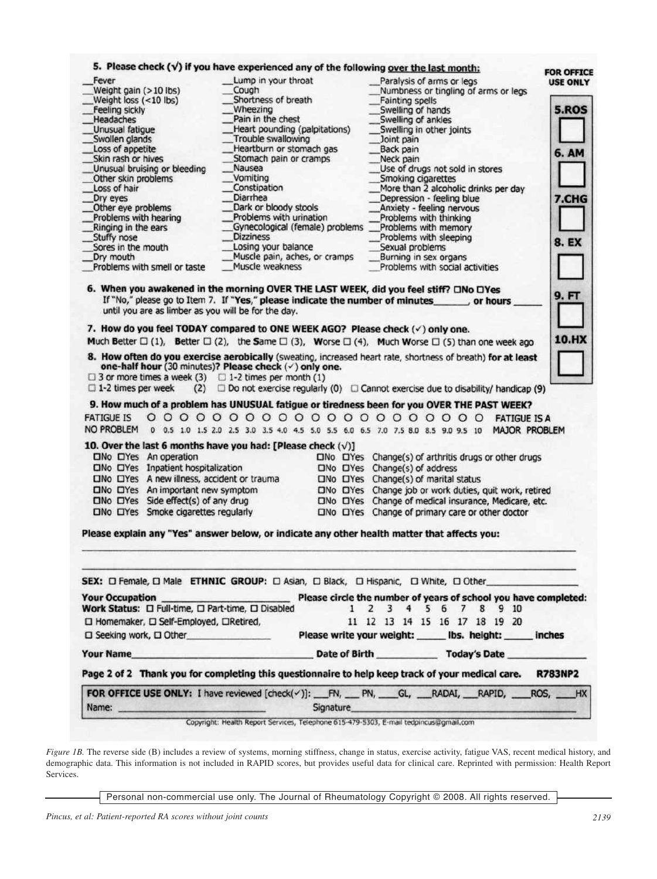| Fever                                                                                                                                                                                                                                                                                                                                    |                                  | 5. Please check $(v')$ if you have experienced any of the following over the last month: |                                                        |                                                                                                                        |                 |
|------------------------------------------------------------------------------------------------------------------------------------------------------------------------------------------------------------------------------------------------------------------------------------------------------------------------------------------|----------------------------------|------------------------------------------------------------------------------------------|--------------------------------------------------------|------------------------------------------------------------------------------------------------------------------------|-----------------|
|                                                                                                                                                                                                                                                                                                                                          | Lump in your throat              |                                                                                          |                                                        | Paralysis of arms or legs                                                                                              | <b>USE ONLY</b> |
| Weight gain (>10 lbs)                                                                                                                                                                                                                                                                                                                    | Cough                            |                                                                                          |                                                        | Numbness or tingling of arms or legs                                                                                   |                 |
| Weight loss (<10 lbs)                                                                                                                                                                                                                                                                                                                    | Shortness of breath              |                                                                                          | Fainting spells                                        |                                                                                                                        | <b>5.ROS</b>    |
| Feeling sickly                                                                                                                                                                                                                                                                                                                           | Wheezing<br>Pain in the chest    |                                                                                          | Swelling of hands                                      |                                                                                                                        |                 |
| Headaches                                                                                                                                                                                                                                                                                                                                |                                  |                                                                                          | Swelling of ankles                                     |                                                                                                                        |                 |
| Unusual fatigue                                                                                                                                                                                                                                                                                                                          | Heart pounding (palpitations)    |                                                                                          |                                                        | Swelling in other joints                                                                                               |                 |
| Swollen glands                                                                                                                                                                                                                                                                                                                           | Trouble swallowing               |                                                                                          | Joint pain                                             |                                                                                                                        |                 |
| Loss of appetite<br>Skin rash or hives                                                                                                                                                                                                                                                                                                   | Heartburn or stomach gas         |                                                                                          | Back pain                                              |                                                                                                                        | <b>6. AM</b>    |
| Unusual bruising or bleeding                                                                                                                                                                                                                                                                                                             | Stomach pain or cramps<br>Nausea |                                                                                          | Neck pain                                              | Use of drugs not sold in stores                                                                                        |                 |
|                                                                                                                                                                                                                                                                                                                                          |                                  |                                                                                          |                                                        |                                                                                                                        |                 |
| Other skin problems                                                                                                                                                                                                                                                                                                                      | Vomiting<br>Constipation         |                                                                                          | Smoking cigarettes                                     |                                                                                                                        |                 |
| Loss of hair                                                                                                                                                                                                                                                                                                                             | Diarrhea                         |                                                                                          |                                                        | More than 2 alcoholic drinks per day                                                                                   |                 |
| Dry eyes                                                                                                                                                                                                                                                                                                                                 |                                  |                                                                                          |                                                        | Depression - feeling blue                                                                                              | 7.CHG           |
| Other eye problems                                                                                                                                                                                                                                                                                                                       | Dark or bloody stools            |                                                                                          |                                                        | Anxiety - feeling nervous                                                                                              |                 |
| Problems with hearing                                                                                                                                                                                                                                                                                                                    | Problems with urination          |                                                                                          |                                                        | Problems with thinking                                                                                                 |                 |
| Ringing in the ears                                                                                                                                                                                                                                                                                                                      | Gynecological (female) problems  |                                                                                          |                                                        | Problems with memory                                                                                                   |                 |
| Stuffy nose                                                                                                                                                                                                                                                                                                                              | <b>Dizziness</b>                 |                                                                                          |                                                        | Problems with sleeping                                                                                                 | <b>8. EX</b>    |
| Sores in the mouth                                                                                                                                                                                                                                                                                                                       | Losing your balance              |                                                                                          | Sexual problems                                        |                                                                                                                        |                 |
| Dry mouth                                                                                                                                                                                                                                                                                                                                | Muscle pain, aches, or cramps    |                                                                                          | Burning in sex organs                                  |                                                                                                                        |                 |
| Problems with smell or taste                                                                                                                                                                                                                                                                                                             | Muscle weakness                  |                                                                                          |                                                        | Problems with social activities                                                                                        |                 |
| 6. When you awakened in the morning OVER THE LAST WEEK, did you feel stiff? ONo OYes<br>If "No," please go to Item 7. If "Yes," please indicate the number of minutes<br>until you are as limber as you will be for the day.                                                                                                             |                                  |                                                                                          |                                                        | , or hours                                                                                                             | 9. FT           |
|                                                                                                                                                                                                                                                                                                                                          |                                  |                                                                                          |                                                        |                                                                                                                        |                 |
| 7. How do you feel TODAY compared to ONE WEEK AGO? Please check (v) only one.                                                                                                                                                                                                                                                            |                                  |                                                                                          |                                                        |                                                                                                                        |                 |
| Much Better $\square$ (1), Better $\square$ (2), the Same $\square$ (3), Worse $\square$ (4), Much Worse $\square$ (5) than one week ago                                                                                                                                                                                                 |                                  |                                                                                          |                                                        |                                                                                                                        | 10.HX           |
| 9. How much of a problem has UNUSUAL fatigue or tiredness been for you OVER THE PAST WEEK?<br><b>FATIGUE IS</b>                                                                                                                                                                                                                          | $0000000000000000000000$         |                                                                                          |                                                        | (2) $\Box$ Do not exercise regularly (0) $\Box$ Cannot exercise due to disability/ handicap (9)<br><b>FATIGUE IS A</b> |                 |
| NO PROBLEM                                                                                                                                                                                                                                                                                                                               |                                  |                                                                                          |                                                        | 0 0.5 1.0 1.5 2.0 2.5 3.0 3.5 4.0 4.5 5.0 5.5 6.0 6.5 7.0 7.5 8.0 8.5 9.0 9.5 10 MAJOR PROBLEM                         |                 |
| 10. Over the last 6 months have you had: [Please check $(\sqrt{})$ ]                                                                                                                                                                                                                                                                     |                                  |                                                                                          |                                                        |                                                                                                                        |                 |
|                                                                                                                                                                                                                                                                                                                                          |                                  |                                                                                          |                                                        |                                                                                                                        |                 |
| <b>CINO CIYes</b> An operation                                                                                                                                                                                                                                                                                                           |                                  |                                                                                          |                                                        | CINO CIYes Change(s) of arthritis drugs or other drugs                                                                 |                 |
| CINO CIYes Inpatient hospitalization                                                                                                                                                                                                                                                                                                     |                                  |                                                                                          | $\square$ No $\square$ Yes $Change(s)$ of address      |                                                                                                                        |                 |
| CINO CIYes A new illness, accident or trauma                                                                                                                                                                                                                                                                                             |                                  |                                                                                          | $\square$ No $\square$ Yes Change(s) of marital status |                                                                                                                        |                 |
| CINO CIYes An important new symptom                                                                                                                                                                                                                                                                                                      |                                  |                                                                                          |                                                        | CINO CIYes Change job or work duties, quit work, retired                                                               |                 |
| $\square$ No $\square$ Yes Side effect(s) of any drug                                                                                                                                                                                                                                                                                    |                                  |                                                                                          |                                                        | CINO CIYes Change of medical insurance, Medicare, etc.                                                                 |                 |
| DNo DYes Smoke cigarettes regularly                                                                                                                                                                                                                                                                                                      |                                  |                                                                                          |                                                        | CINO CIYes Change of primary care or other doctor                                                                      |                 |
| Please explain any "Yes" answer below, or indicate any other health matter that affects you:                                                                                                                                                                                                                                             |                                  |                                                                                          |                                                        |                                                                                                                        |                 |
|                                                                                                                                                                                                                                                                                                                                          |                                  |                                                                                          |                                                        |                                                                                                                        |                 |
|                                                                                                                                                                                                                                                                                                                                          |                                  |                                                                                          |                                                        |                                                                                                                        |                 |
| SEX: D Female, D Male ETHNIC GROUP: D Asian, D Black, D Hispanic, D White, D Other                                                                                                                                                                                                                                                       |                                  |                                                                                          |                                                        |                                                                                                                        |                 |
|                                                                                                                                                                                                                                                                                                                                          |                                  | $\mathbf{1}$                                                                             | $\mathbf{2}$<br>3                                      | 4 5 6 7 8 9 10                                                                                                         |                 |
| Your Occupation Please circle the number of years of school you have completed:<br>Work Status: $\square$ Full-time, $\square$ Part-time, $\square$ Disabled                                                                                                                                                                             |                                  |                                                                                          |                                                        |                                                                                                                        |                 |
| □ Homemaker, □ Self-Employed, □Retired,                                                                                                                                                                                                                                                                                                  |                                  |                                                                                          |                                                        | 11 12 13 14 15 16 17 18 19 20                                                                                          |                 |
| $\square$ Seeking work, $\square$ Other                                                                                                                                                                                                                                                                                                  |                                  |                                                                                          |                                                        | Please write your weight: _____ lbs. height: _____ inches                                                              |                 |
|                                                                                                                                                                                                                                                                                                                                          |                                  |                                                                                          |                                                        |                                                                                                                        |                 |
| <b>The Vour Name Contract of Birth Contract of Birth Contract of Birth Contract of Birth Contract of Birth Contract of Birth Contract of Birth Contract of Birth Contract of Birth Contract of Birth Contract of Birth Contract </b><br>Page 2 of 2 Thank you for completing this questionnaire to help keep track of your medical care. |                                  |                                                                                          |                                                        |                                                                                                                        | <b>R783NP2</b>  |

Copyright: Health Report Services, Telephone 615-479-5303, E-mail tedpincus@gmail.com

*Figure 1B.* The reverse side (B) includes a review of systems, morning stiffness, change in status, exercise activity, fatigue VAS, recent medical history, and demographic data. This information is not included in RAPID scores, but provides useful data for clinical care. Reprinted with permission: Health Report Services.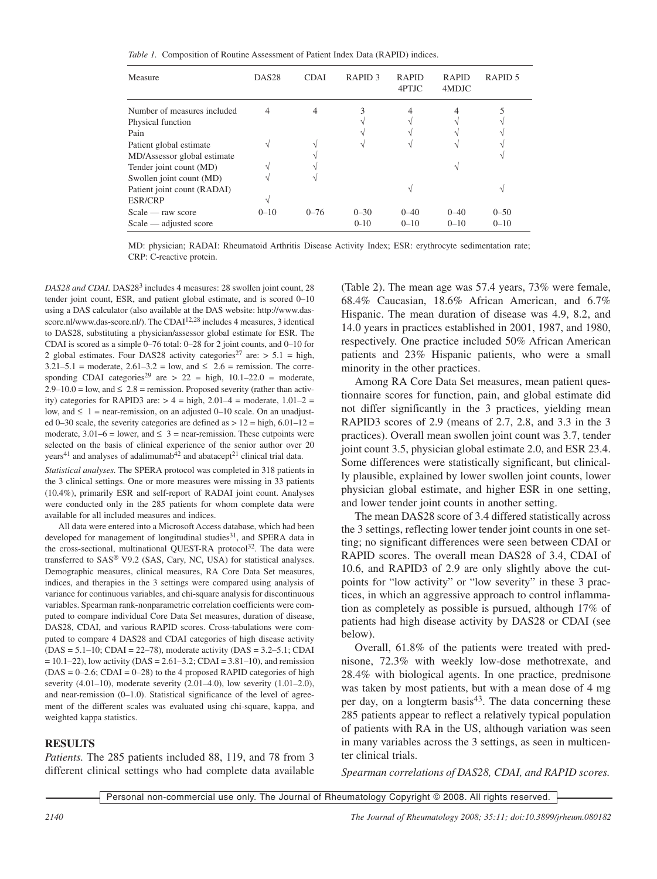*Table 1.* Composition of Routine Assessment of Patient Index Data (RAPID) indices.

| Measure                                                        | DAS <sub>28</sub> | <b>CDAI</b> | RAPID <sub>3</sub>   | <b>RAPID</b><br>4PTJC | <b>RAPID</b><br>4MDJC | RAPID <sub>5</sub>   |
|----------------------------------------------------------------|-------------------|-------------|----------------------|-----------------------|-----------------------|----------------------|
| Number of measures included<br>Physical function               |                   | 4           |                      |                       |                       |                      |
| Pain<br>Patient global estimate<br>MD/Assessor global estimate |                   |             |                      |                       |                       |                      |
| Tender joint count (MD)<br>Swollen joint count (MD)            |                   |             |                      |                       |                       |                      |
| Patient joint count (RADAI)<br>ESR/CRP                         |                   |             |                      |                       |                       |                      |
| Scale - raw score<br>Scale — adjusted score                    | $0 - 10$          | $0 - 76$    | $0 - 30$<br>$0 - 10$ | $0 - 40$<br>$0 - 10$  | $0 - 40$<br>$0 - 10$  | $0 - 50$<br>$0 - 10$ |

MD: physician; RADAI: Rheumatoid Arthritis Disease Activity Index; ESR: erythrocyte sedimentation rate; CRP: C-reactive protein.

*DAS28 and CDAI.* DAS28<sup>3</sup> includes 4 measures: 28 swollen joint count, 28 tender joint count, ESR, and patient global estimate, and is scored 0–10 using a DAS calculator (also available at the DAS website: http://www.dasscore.nl/www.das-score.nl/). The CDAI<sup>12,28</sup> includes 4 measures, 3 identical to DAS28, substituting a physician/assessor global estimate for ESR. The CDAI is scored as a simple 0–76 total: 0–28 for 2 joint counts, and 0–10 for 2 global estimates. Four DAS28 activity categories<sup>27</sup> are:  $> 5.1$  = high,  $3.21 - 5.1$  = moderate,  $2.61 - 3.2$  = low, and  $\leq 2.6$  = remission. The corresponding CDAI categories<sup>29</sup> are  $> 22$  = high, 10.1–22.0 = moderate,  $2.9-10.0 =$  low, and  $\leq 2.8$  = remission. Proposed severity (rather than activity) categories for RAPID3 are:  $> 4 =$  high, 2.01–4 = moderate, 1.01–2 = low, and  $\leq 1$  = near-remission, on an adjusted 0–10 scale. On an unadjusted 0–30 scale, the severity categories are defined as  $> 12$  = high,  $6.01-12$  = moderate,  $3.01-6 =$  lower, and  $\leq 3 =$  near-remission. These cutpoints were selected on the basis of clinical experience of the senior author over 20 years<sup>41</sup> and analyses of adalimumab<sup>42</sup> and abatacept<sup>21</sup> clinical trial data.

*Statistical analyses.* The SPERA protocol was completed in 318 patients in the 3 clinical settings. One or more measures were missing in 33 patients (10.4%), primarily ESR and self-report of RADAI joint count. Analyses were conducted only in the 285 patients for whom complete data were available for all included measures and indices.

All data were entered into a Microsoft Access database, which had been developed for management of longitudinal studies<sup>31</sup>, and SPERA data in the cross-sectional, multinational QUEST-RA protocol<sup>32</sup>. The data were transferred to SAS® V9.2 (SAS, Cary, NC, USA) for statistical analyses. Demographic measures, clinical measures, RA Core Data Set measures, indices, and therapies in the 3 settings were compared using analysis of variance for continuous variables, and chi-square analysis for discontinuous variables. Spearman rank-nonparametric correlation coefficients were computed to compare individual Core Data Set measures, duration of disease, DAS28, CDAI, and various RAPID scores. Cross-tabulations were computed to compare 4 DAS28 and CDAI categories of high disease activity  $(DAS = 5.1 - 10; CDAI = 22 - 78)$ , moderate activity  $(DAS = 3.2 - 5.1; CDAI$  $= 10.1 - 22$ ), low activity (DAS = 2.61–3.2; CDAI = 3.81–10), and remission  $(DAS = 0-2.6; CDAI = 0-28)$  to the 4 proposed RAPID categories of high severity (4.01–10), moderate severity (2.01–4.0), low severity (1.01–2.0), and near-remission  $(0-1.0)$ . Statistical significance of the level of agreement of the different scales was evaluated using chi-square, kappa, and weighted kappa statistics.

#### **RESULTS**

*Patients.* The 285 patients included 88, 119, and 78 from 3 different clinical settings who had complete data available (Table 2). The mean age was 57.4 years, 73% were female, 68.4% Caucasian, 18.6% African American, and 6.7% Hispanic. The mean duration of disease was 4.9, 8.2, and 14.0 years in practices established in 2001, 1987, and 1980, respectively. One practice included 50% African American patients and 23% Hispanic patients, who were a small minority in the other practices.

Among RA Core Data Set measures, mean patient questionnaire scores for function, pain, and global estimate did not differ significantly in the 3 practices, yielding mean RAPID3 scores of 2.9 (means of 2.7, 2.8, and 3.3 in the 3 practices). Overall mean swollen joint count was 3.7, tender joint count 3.5, physician global estimate 2.0, and ESR 23.4. Some differences were statistically significant, but clinically plausible, explained by lower swollen joint counts, lower physician global estimate, and higher ESR in one setting, and lower tender joint counts in another setting.

The mean DAS28 score of 3.4 differed statistically across the 3 settings, reflecting lower tender joint counts in one setting; no significant differences were seen between CDAI or RAPID scores. The overall mean DAS28 of 3.4, CDAI of 10.6, and RAPID3 of 2.9 are only slightly above the cutpoints for "low activity" or "low severity" in these 3 practices, in which an aggressive approach to control inflammation as completely as possible is pursued, although 17% of patients had high disease activity by DAS28 or CDAI (see below).

Overall, 61.8% of the patients were treated with prednisone, 72.3% with weekly low-dose methotrexate, and 28.4% with biological agents. In one practice, prednisone was taken by most patients, but with a mean dose of 4 mg per day, on a longterm basis $43$ . The data concerning these 285 patients appear to reflect a relatively typical population of patients with RA in the US, although variation was seen in many variables across the 3 settings, as seen in multicenter clinical trials.

*Spearman correlations of DAS28, CDAI, and RAPID scores.*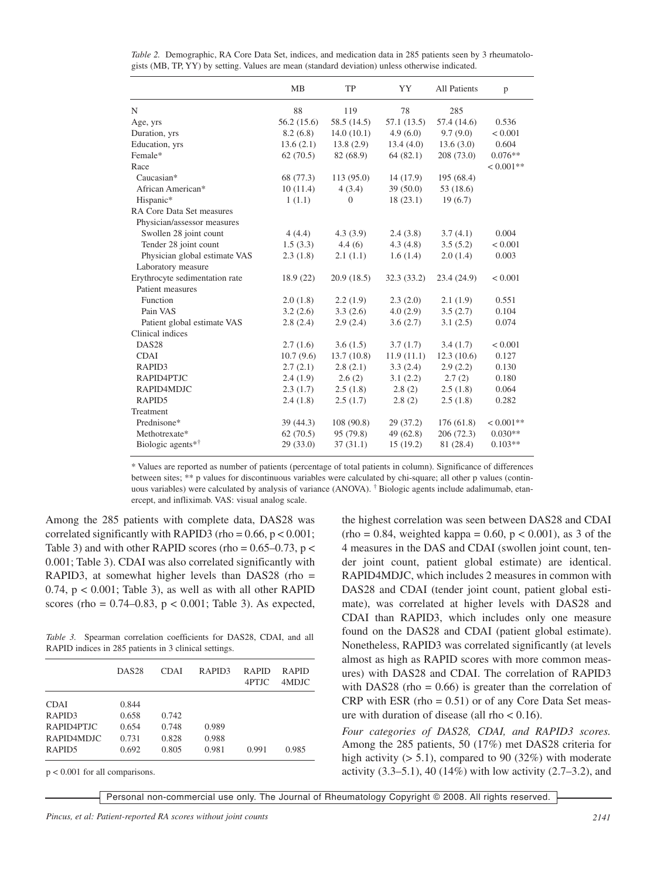|                                                          | <b>MB</b>  | TP             | YY         | <b>All Patients</b> | p           |
|----------------------------------------------------------|------------|----------------|------------|---------------------|-------------|
| N                                                        | 88         | 119            | 78         | 285                 |             |
| Age, yrs                                                 | 56.2(15.6) | 58.5 (14.5)    | 57.1(13.5) | 57.4 (14.6)         | 0.536       |
| Duration, yrs                                            | 8.2(6.8)   | 14.0(10.1)     | 4.9(6.0)   | 9.7(9.0)            | < 0.001     |
| Education, yrs                                           | 13.6(2.1)  | 13.8(2.9)      | 13.4(4.0)  | 13.6(3.0)           | 0.604       |
| Female*                                                  | 62(70.5)   | 82 (68.9)      | 64(82.1)   | 208 (73.0)          | $0.076**$   |
| Race                                                     |            |                |            |                     | $< 0.001**$ |
| Caucasian*                                               | 68 (77.3)  | 113 (95.0)     | 14(17.9)   | 195 (68.4)          |             |
| African American*                                        | 10(11.4)   | 4(3.4)         | 39(50.0)   | 53 (18.6)           |             |
| Hispanic*                                                | 1(1.1)     | $\overline{0}$ | 18(23.1)   | 19(6.7)             |             |
| RA Core Data Set measures<br>Physician/assessor measures |            |                |            |                     |             |
| Swollen 28 joint count                                   | 4(4.4)     | 4.3(3.9)       | 2.4(3.8)   | 3.7(4.1)            | 0.004       |
| Tender 28 joint count                                    | 1.5(3.3)   | 4.4(6)         | 4.3(4.8)   | 3.5(5.2)            | < 0.001     |
| Physician global estimate VAS                            | 2.3(1.8)   | 2.1(1.1)       | 1.6(1.4)   | 2.0(1.4)            | 0.003       |
| Laboratory measure                                       |            |                |            |                     |             |
| Erythrocyte sedimentation rate                           | 18.9(22)   | 20.9(18.5)     | 32.3(33.2) | 23.4(24.9)          | < 0.001     |
| Patient measures                                         |            |                |            |                     |             |
| Function                                                 | 2.0(1.8)   | 2.2(1.9)       | 2.3(2.0)   | 2.1(1.9)            | 0.551       |
| Pain VAS                                                 | 3.2(2.6)   | 3.3(2.6)       | 4.0(2.9)   | 3.5(2.7)            | 0.104       |
| Patient global estimate VAS                              | 2.8(2.4)   | 2.9(2.4)       | 3.6(2.7)   | 3.1(2.5)            | 0.074       |
| Clinical indices                                         |            |                |            |                     |             |
| DAS <sub>28</sub>                                        | 2.7(1.6)   | 3.6(1.5)       | 3.7(1.7)   | 3.4(1.7)            | < 0.001     |
| <b>CDAI</b>                                              | 10.7(9.6)  | 13.7(10.8)     | 11.9(11.1) | 12.3(10.6)          | 0.127       |
| RAPID3                                                   | 2.7(2.1)   | 2.8(2.1)       | 3.3(2.4)   | 2.9(2.2)            | 0.130       |
| RAPID4PTJC                                               | 2.4(1.9)   | 2.6(2)         | 3.1(2.2)   | 2.7(2)              | 0.180       |
| RAPID4MDJC                                               | 2.3(1.7)   | 2.5(1.8)       | 2.8(2)     | 2.5(1.8)            | 0.064       |
| RAPID5                                                   | 2.4(1.8)   | 2.5(1.7)       | 2.8(2)     | 2.5(1.8)            | 0.282       |
| Treatment                                                |            |                |            |                     |             |
| Prednisone*                                              | 39(44.3)   | 108 (90.8)     | 29 (37.2)  | 176(61.8)           | $< 0.001**$ |
| Methotrexate*                                            | 62(70.5)   | 95 (79.8)      | 49(62.8)   | 206 (72.3)          | $0.030**$   |
| Biologic agents* <sup>†</sup>                            | 29(33.0)   | 37(31.1)       | 15(19.2)   | 81 (28.4)           | $0.103**$   |

*Table 2.* Demographic, RA Core Data Set, indices, and medication data in 285 patients seen by 3 rheumatologists (MB, TP, YY) by setting. Values are mean (standard deviation) unless otherwise indicated.

\* Values are reported as number of patients (percentage of total patients in column). Significance of differences between sites; \*\* p values for discontinuous variables were calculated by chi-square; all other p values (continuous variables) were calculated by analysis of variance (ANOVA). † Biologic agents include adalimumab, etanercept, and infliximab. VAS: visual analog scale.

Among the 285 patients with complete data, DAS28 was correlated significantly with RAPID3 (rho =  $0.66$ ,  $p < 0.001$ ; Table 3) and with other RAPID scores (rho =  $0.65-0.73$ , p < 0.001; Table 3). CDAI was also correlated significantly with RAPID3, at somewhat higher levels than DAS28 (rho = 0.74, p < 0.001; Table 3), as well as with all other RAPID scores (rho =  $0.74 - 0.83$ ,  $p < 0.001$ ; Table 3). As expected,

*Table 3.* Spearman correlation coefficients for DAS28, CDAI, and all RAPID indices in 285 patients in 3 clinical settings.

|                    | DAS <sub>28</sub> | <b>CDAI</b> | RAPID <sub>3</sub> | <b>RAPID</b><br>4PTJC | <b>RAPID</b><br>4MDJC |
|--------------------|-------------------|-------------|--------------------|-----------------------|-----------------------|
| <b>CDAI</b>        | 0.844             |             |                    |                       |                       |
| RAPID <sub>3</sub> | 0.658             | 0.742       |                    |                       |                       |
| RAPID4PTJC         | 0.654             | 0.748       | 0.989              |                       |                       |
| RAPID4MDJC         | 0.731             | 0.828       | 0.988              |                       |                       |
| RAPID <sub>5</sub> | 0.692             | 0.805       | 0.981              | 0.991                 | 0.985                 |

p < 0.001 for all comparisons.

the highest correlation was seen between DAS28 and CDAI  $rho = 0.84$ , weighted kappa = 0.60, p < 0.001), as 3 of the 4 measures in the DAS and CDAI (swollen joint count, tender joint count, patient global estimate) are identical. RAPID4MDJC, which includes 2 measures in common with DAS28 and CDAI (tender joint count, patient global estimate), was correlated at higher levels with DAS28 and CDAI than RAPID3, which includes only one measure found on the DAS28 and CDAI (patient global estimate). Nonetheless, RAPID3 was correlated significantly (at levels almost as high as RAPID scores with more common measures) with DAS28 and CDAI. The correlation of RAPID3 with DAS28 (rho =  $0.66$ ) is greater than the correlation of  $CRP$  with ESR (rho = 0.51) or of any Core Data Set measure with duration of disease (all rho < 0.16).

*Four categories of DAS28, CDAI, and RAPID3 scores.* Among the 285 patients, 50 (17%) met DAS28 criteria for high activity  $(5.1)$ , compared to 90 (32%) with moderate activity (3.3–5.1), 40 (14%) with low activity (2.7–3.2), and

Personal non-commercial use only. The Journal of Rheumatology Copyright © 2008. All rights reserved.

*Pincus, et al: Patient-reported RA scores without joint counts 2141*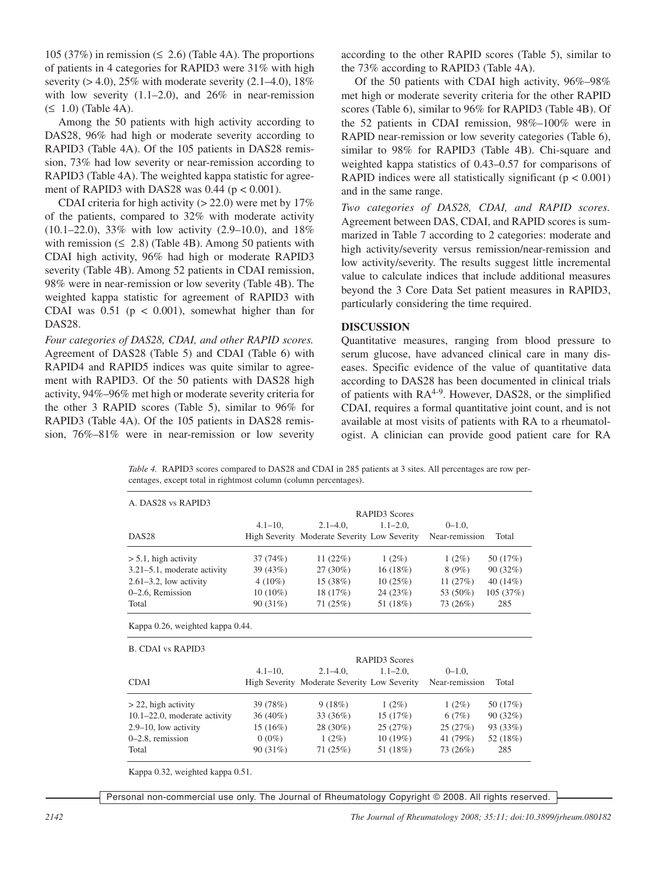105 (37%) in remission ( $\leq$  2.6) (Table 4A). The proportions of patients in 4 categories for RAPID3 were 31% with high severity  $(> 4.0)$ , 25% with moderate severity  $(2.1–4.0)$ , 18% with low severity  $(1.1–2.0)$ , and  $26\%$  in near-remission  $(\leq 1.0)$  (Table 4A).

Among the 50 patients with high activity according to DAS28, 96% had high or moderate severity according to RAPID3 (Table 4A). Of the 105 patients in DAS28 remission, 73% had low severity or near-remission according to RAPID3 (Table 4A). The weighted kappa statistic for agreement of RAPID3 with DAS28 was  $0.44$  ( $p < 0.001$ ).

CDAI criteria for high activity ( $> 22.0$ ) were met by 17% of the patients, compared to 32% with moderate activity (10.1–22.0), 33% with low activity (2.9–10.0), and 18% with remission  $(≤ 2.8)$  (Table 4B). Among 50 patients with CDAI high activity, 96% had high or moderate RAPID3 severity (Table 4B). Among 52 patients in CDAI remission, 98% were in near-remission or low severity (Table 4B). The weighted kappa statistic for agreement of RAPID3 with CDAI was  $0.51$  ( $p < 0.001$ ), somewhat higher than for DAS28.

*Four categories of DAS28, CDAI, and other RAPID scores.* Agreement of DAS28 (Table 5) and CDAI (Table 6) with RAPID4 and RAPID5 indices was quite similar to agreement with RAPID3. Of the 50 patients with DAS28 high activity, 94%–96% met high or moderate severity criteria for the other 3 RAPID scores (Table 5), similar to 96% for RAPID3 (Table 4A). Of the 105 patients in DAS28 remission, 76%–81% were in near-remission or low severity according to the other RAPID scores (Table 5), similar to the 73% according to RAPID3 (Table 4A).

Of the 50 patients with CDAI high activity, 96%–98% met high or moderate severity criteria for the other RAPID scores (Table 6), similar to 96% for RAPID3 (Table 4B). Of the 52 patients in CDAI remission, 98%–100% were in RAPID near-remission or low severity categories (Table 6), similar to 98% for RAPID3 (Table 4B). Chi-square and weighted kappa statistics of 0.43–0.57 for comparisons of RAPID indices were all statistically significant ( $p < 0.001$ ) and in the same range.

*Two categories of DAS28, CDAI, and RAPID scores.* Agreement between DAS, CDAI, and RAPID scores is summarized in Table 7 according to 2 categories: moderate and high activity/severity versus remission/near-remission and low activity/severity. The results suggest little incremental value to calculate indices that include additional measures beyond the 3 Core Data Set patient measures in RAPID3, particularly considering the time required.

## **DISCUSSION**

Quantitative measures, ranging from blood pressure to serum glucose, have advanced clinical care in many diseases. Specific evidence of the value of quantitative data according to DAS28 has been documented in clinical trials of patients with RA<sup>4-9</sup>. However, DAS28, or the simplified CDAI, requires a formal quantitative joint count, and is not available at most visits of patients with RA to a rheumatologist. A clinician can provide good patient care for RA

*Table 4.* RAPID3 scores compared to DAS28 and CDAI in 285 patients at 3 sites. All percentages are row percentages, except total in rightmost column (column percentages).

| A. DAS28 vs RAPID3                |                      |                                              |                           |                |            |  |
|-----------------------------------|----------------------|----------------------------------------------|---------------------------|----------------|------------|--|
|                                   | <b>RAPID3</b> Scores |                                              |                           |                |            |  |
|                                   | $4.1 - 10$ ,         | $2.1 - 4.0$ ,                                | $1.1 - 2.0$ ,             | $0 - 1.0$ ,    |            |  |
| DAS <sub>28</sub>                 |                      | High Severity Moderate Severity Low Severity |                           | Near-remission | Total      |  |
| $> 5.1$ , high activity           | 37(74%)              | 11(22%)                                      | $1(2\%)$                  | $1(2\%)$       | 50 (17%)   |  |
| $3.21 - 5.1$ , moderate activity  | 39(43%)              | 27 (30%)                                     | 16(18%)                   | 8 (9%)         | 90(32%)    |  |
| $2.61-3.2$ , low activity         | $4(10\%)$            | 15(38%)                                      | 10(25%)                   | 11 $(27%)$     | 40 $(14%)$ |  |
| 0-2.6, Remission                  | $10(10\%)$           | 18(17%)                                      | 24(23%)                   | 53 (50%)       | 105(37%)   |  |
| Total                             | 90(31%)              | 71(25%)                                      | 51 (18%)                  | 73 (26%)       | 285        |  |
| <b>B. CDAI vs RAPID3</b>          |                      |                                              | RAPID <sub>3</sub> Scores |                |            |  |
|                                   | $4.1 - 10$ ,         | $2.1 - 4.0$ ,                                | $1.1 - 2.0$ ,             | $0-1.0$ ,      |            |  |
| <b>CDAI</b>                       |                      | High Severity Moderate Severity Low Severity |                           | Near-remission | Total      |  |
| $>$ 22, high activity             | 39 (78%)             | 9(18%)                                       | $1(2\%)$                  | $1(2\%)$       | 50 (17%)   |  |
| $10.1 - 22.0$ , moderate activity | $36(40\%)$           | 33 (36%)                                     | 15(17%)                   | 6(7%)          | 90(32%)    |  |
| $2.9 - 10$ , low activity         | $15(16\%)$           | 28 (30%)                                     | 25(27%)                   | 25(27%)        | 93 (33%)   |  |
| $0-2.8$ , remission               | $0(0\%)$             | $1(2\%)$                                     | 10(19%)                   | 41 (79%)       | 52 (18%)   |  |
| Total                             | 90(31%)              | 71(25%)                                      | 51 (18%)                  | 73 (26%)       | 285        |  |

Kappa 0.32, weighted kappa 0.51.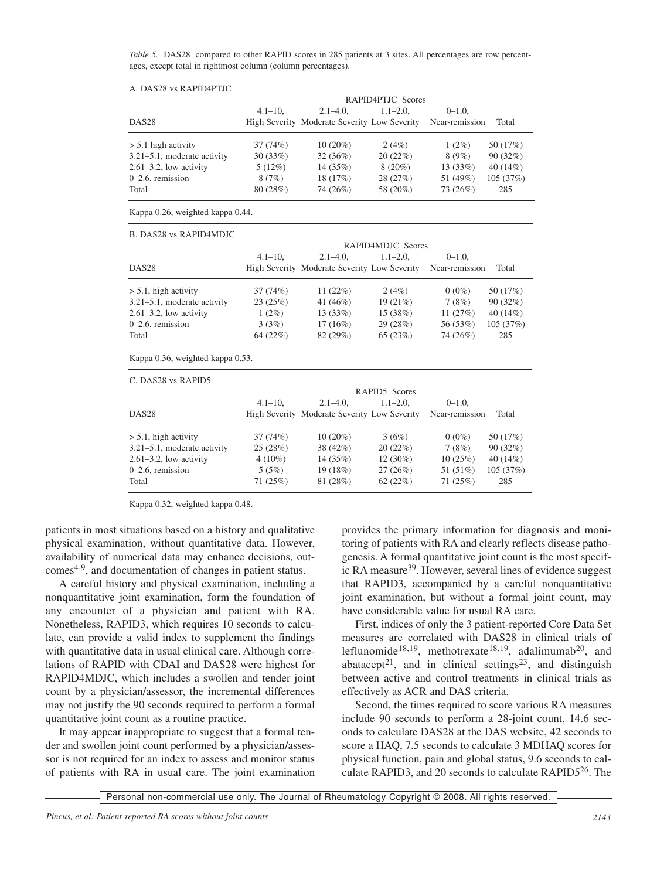*Table* 5. DAS28 compared to other RAPID scores in 285 patients at 3 sites. All percentages are row percentages, except total in rightmost column (column percentages).

| A. DAS28 vs RAPID4PTJC           |             |                                              |                   |                |          |
|----------------------------------|-------------|----------------------------------------------|-------------------|----------------|----------|
|                                  |             |                                              | RAPID4PTJC Scores |                |          |
|                                  | $4.1 - 10.$ | $2.1 - 4.0.$                                 | $1.1 - 2.0.$      | $0-1.0$        |          |
| DAS <sub>28</sub>                |             | High Severity Moderate Severity Low Severity |                   | Near-remission | Total    |
| $> 5.1$ high activity            | 37 (74%)    | $10(20\%)$                                   | 2(4%)             | $1(2\%)$       | 50 (17%) |
| $3.21 - 5.1$ , moderate activity | 30(33%)     | 32(36%)                                      | 20(22%)           | 8(9%)          | 90(32%)  |
| $2.61 - 3.2$ , low activity      | 5(12%)      | 14 (35%)                                     | $8(20\%)$         | 13 (33%)       | 40(14%)  |
| $0-2.6$ , remission              | 8(7%)       | 18 (17%)                                     | 28 (27%)          | 51 (49%)       | 105(37%) |
| Total                            | 80 (28%)    | 74 (26%)                                     | 58 (20%)          | 73 (26%)       | 285      |

Kappa 0.26, weighted kappa 0.44.

B. DAS28 vs RAPID4MDJC

|                                  |              |                                                             | RAPID4MDJC Scores |                |          |
|----------------------------------|--------------|-------------------------------------------------------------|-------------------|----------------|----------|
|                                  | $4.1 - 10.$  | $2.1 - 4.0$ ,                                               | $1.1 - 2.0$ ,     | $0 - 1.0$ ,    |          |
| DAS28                            |              | High Severity Moderate Severity Low Severity Near-remission |                   |                | Total    |
| $> 5.1$ , high activity          | 37(74%)      | 11 $(22%)$                                                  | 2(4%)             | $0(0\%)$       | 50 (17%) |
| 3.21–5.1, moderate activity      | 23(25%)      | 41 (46%)                                                    | 19(21%)           | 7 (8%)         | 90(32%)  |
| $2.61 - 3.2$ , low activity      | $1(2\%)$     | 13(33%)                                                     | 15(38%)           | 11 $(27%)$     | 40(14%)  |
| 0–2.6, remission                 | 3(3%)        | $17(16\%)$                                                  | 29(28%)           | 56 (53%)       | 105(37%) |
| Total                            | 64(22%)      | 82(29%)                                                     | 65(23%)           | 74 (26%)       | 285      |
| Kappa 0.36, weighted kappa 0.53. |              |                                                             |                   |                |          |
| C. DAS28 vs RAPID5               |              |                                                             |                   |                |          |
|                                  |              |                                                             | RAPID5 Scores     |                |          |
|                                  | $4.1 - 10$ , | $2.1 - 4.0$ ,                                               | $1.1 - 2.0$ ,     | $0 - 1.0$ ,    |          |
| DAS28                            |              | High Severity Moderate Severity Low Severity                |                   | Near-remission | Total    |
| $> 5.1$ , high activity          | 37 (74%)     | $10(20\%)$                                                  | 3(6%)             | $0(0\%)$       | 50 (17%) |

| $> 5.1$ , high activity<br>3.21–5.1, moderate activity<br>$2.61 - 3.2$ , low activity | 37(74%)<br>25(28%)<br>$4(10\%)$ | $10(20\%)$<br>$38(42\%)$<br>14(35%) | 3(6%)<br>20(22%)<br>$12(30\%)$ | $0(0\%)$<br>7(8%)<br>10(25%) | 50 (17%)<br>90(32%)<br>$40(14\%)$ |
|---------------------------------------------------------------------------------------|---------------------------------|-------------------------------------|--------------------------------|------------------------------|-----------------------------------|
| $0-2.6$ , remission                                                                   | 5(5%)                           | 19(18%)                             | 27(26%)                        | 51 (51%)                     | 105(37%)                          |
| Total                                                                                 | 71(25%)                         | 81 (28%)                            | 62(22%)                        | 71(25%)                      | 285                               |

Kappa 0.32, weighted kappa 0.48.

patients in most situations based on a history and qualitative physical examination, without quantitative data. However, availability of numerical data may enhance decisions, outcomes4-9, and documentation of changes in patient status.

A careful history and physical examination, including a nonquantitative joint examination, form the foundation of any encounter of a physician and patient with RA. Nonetheless, RAPID3, which requires 10 seconds to calculate, can provide a valid index to supplement the findings with quantitative data in usual clinical care. Although correlations of RAPID with CDAI and DAS28 were highest for RAPID4MDJC, which includes a swollen and tender joint count by a physician/assessor, the incremental differences may not justify the 90 seconds required to perform a formal quantitative joint count as a routine practice.

It may appear inappropriate to suggest that a formal tender and swollen joint count performed by a physician/assessor is not required for an index to assess and monitor status of patients with RA in usual care. The joint examination provides the primary information for diagnosis and monitoring of patients with RA and clearly reflects disease pathogenesis. A formal quantitative joint count is the most specific RA measure39. However, several lines of evidence suggest that RAPID3, accompanied by a careful nonquantitative joint examination, but without a formal joint count, may have considerable value for usual RA care.

First, indices of only the 3 patient-reported Core Data Set measures are correlated with DAS28 in clinical trials of leflunomide<sup>18,19</sup>, methotrexate<sup>18,19</sup>, adalimumab<sup>20</sup>, and abatacept<sup>21</sup>, and in clinical settings<sup>23</sup>, and distinguish between active and control treatments in clinical trials as effectively as ACR and DAS criteria.

Second, the times required to score various RA measures include 90 seconds to perform a 28-joint count, 14.6 seconds to calculate DAS28 at the DAS website, 42 seconds to score a HAQ, 7.5 seconds to calculate 3 MDHAQ scores for physical function, pain and global status, 9.6 seconds to calculate RAPID3, and 20 seconds to calculate RAPID526. The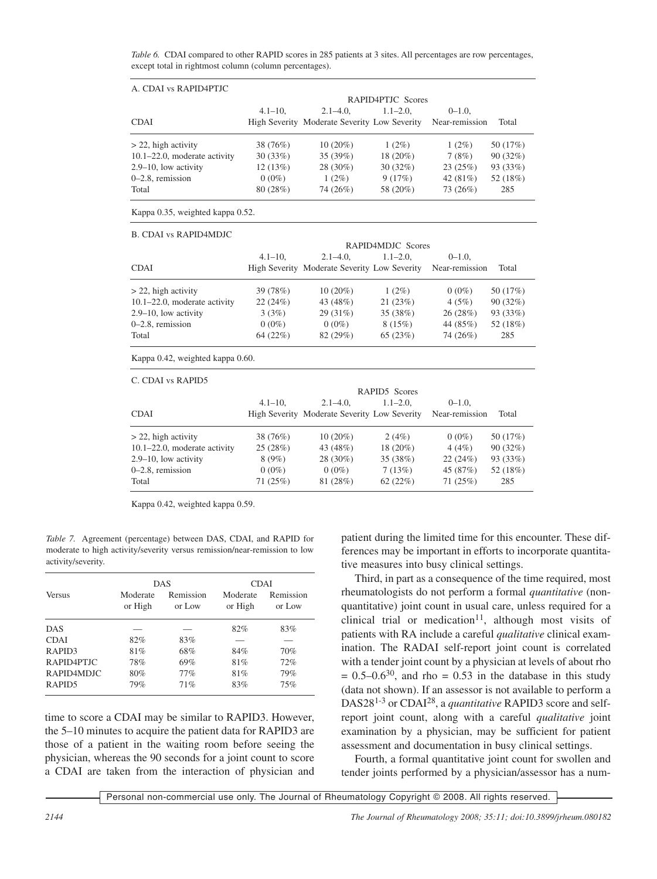*Table* 6. CDAI compared to other RAPID scores in 285 patients at 3 sites. All percentages are row percentages, except total in rightmost column (column percentages).

| A. CDAI vs RAPID4PTJC             |             |                                              |              |                |          |  |  |  |  |
|-----------------------------------|-------------|----------------------------------------------|--------------|----------------|----------|--|--|--|--|
|                                   |             | RAPID4PTJC Scores                            |              |                |          |  |  |  |  |
|                                   | $4.1 - 10.$ | $2.1 - 4.0.$                                 | $1.1 - 2.0.$ | $0-1.0$        |          |  |  |  |  |
| <b>CDAI</b>                       |             | High Severity Moderate Severity Low Severity |              | Near-remission | Total    |  |  |  |  |
| $>$ 22, high activity             | 38 (76%)    | $10(20\%)$                                   | $1(2\%)$     | $1(2\%)$       | 50 (17%) |  |  |  |  |
| $10.1 - 22.0$ , moderate activity | 30(33%)     | 35(39%)                                      | 18 (20%)     | 7(8%)          | 90(32%)  |  |  |  |  |
| $2.9 - 10$ , low activity         | 12(13%)     | 28 (30%)                                     | 30(32%)      | 23(25%)        | 93 (33%) |  |  |  |  |
| $0-2.8$ , remission               | $0(0\%)$    | $1(2\%)$                                     | 9(17%)       | 42 $(81\%)$    | 52 (18%) |  |  |  |  |
| Total                             | 80 (28%)    | 74 (26%)                                     | 58 (20%)     | 73 (26%)       | 285      |  |  |  |  |

Kappa 0.35, weighted kappa 0.52.

B. CDAI vs RAPID4MDJC

|                                   | RAPID4MDJC Scores |                                              |              |                |          |  |
|-----------------------------------|-------------------|----------------------------------------------|--------------|----------------|----------|--|
|                                   | $4.1 - 10.$       | $2.1 - 4.0.$                                 | $1.1 - 2.0.$ | $0-1.0$        |          |  |
| <b>CDAI</b>                       |                   | High Severity Moderate Severity Low Severity |              | Near-remission | Total    |  |
| $>$ 22, high activity             | 39 (78%)          | $10(20\%)$                                   | $1(2\%)$     | $0(0\%)$       | 50 (17%) |  |
| $10.1 - 22.0$ , moderate activity | 22(24%)           | 43 (48%)                                     | 21(23%)      | 4(5%)          | 90(32%)  |  |
| $2.9 - 10$ , low activity         | 3(3%)             | 29(31%)                                      | 35 (38%)     | 26(28%)        | 93 (33%) |  |
| $0-2.8$ , remission               | $0(0\%)$          | $0(0\%)$                                     | 8(15%)       | 44 (85%)       | 52 (18%) |  |
| Total                             | 64(22%)           | 82 (29%)                                     | 65(23%)      | 74 (26%)       | 285      |  |
|                                   |                   |                                              |              |                |          |  |

Kappa 0.42, weighted kappa 0.60.

C. CDAI vs RAPID5

|                                   | $4.1 - 10.$ | $2.1 - 4.0.$                                 | $1.1 - 2.0.$ | $0 - 1.0$      |          |  |
|-----------------------------------|-------------|----------------------------------------------|--------------|----------------|----------|--|
| CDAI                              |             | High Severity Moderate Severity Low Severity |              | Near-remission | Total    |  |
| $>$ 22, high activity             | 38 (76%)    | $10(20\%)$                                   | 2(4%)        | $0(0\%)$       | 50 (17%) |  |
| $10.1 - 22.0$ , moderate activity | 25(28%)     | 43 (48%)                                     | 18 (20%)     | 4(4%)          | 90(32%)  |  |
| 2.9–10, low activity              | 8(9%)       | 28 (30%)                                     | 35 (38%)     | 22(24%)        | 93 (33%) |  |
| $0-2.8$ , remission               | $0(0\%)$    | $0(0\%)$                                     | 7(13%)       | 45 (87%)       | 52 (18%) |  |
| Total                             | 71(25%)     | 81 (28%)                                     | 62(22%)      | 71(25%)        | 285      |  |

Kappa 0.42, weighted kappa 0.59.

*Table 7.* Agreement (percentage) between DAS, CDAI, and RAPID for moderate to high activity/severity versus remission/near-remission to low activity/severity.

|                    | <b>DAS</b>          |                     | <b>CDAI</b>         |                     |
|--------------------|---------------------|---------------------|---------------------|---------------------|
| <b>Versus</b>      | Moderate<br>or High | Remission<br>or Low | Moderate<br>or High | Remission<br>or Low |
| <b>DAS</b>         |                     |                     | 82%                 | 83%                 |
| <b>CDAI</b>        | 82%                 | 83%                 |                     |                     |
| RAPID <sub>3</sub> | 81%                 | 68%                 | 84%                 | 70%                 |
| RAPID4PTJC         | 78%                 | 69%                 | 81%                 | 72%                 |
| RAPID4MDJC         | 80%                 | 77%                 | 81%                 | 79%                 |
| RAPID <sub>5</sub> | 79%                 | 71%                 | 83%                 | 75%                 |

time to score a CDAI may be similar to RAPID3. However, the 5–10 minutes to acquire the patient data for RAPID3 are those of a patient in the waiting room before seeing the physician, whereas the 90 seconds for a joint count to score a CDAI are taken from the interaction of physician and patient during the limited time for this encounter. These differences may be important in efforts to incorporate quantitative measures into busy clinical settings.

Third, in part as a consequence of the time required, most rheumatologists do not perform a formal *quantitative* (nonquantitative) joint count in usual care, unless required for a clinical trial or medication<sup>11</sup>, although most visits of patients with RA include a careful *qualitative* clinical examination. The RADAI self-report joint count is correlated with a tender joint count by a physician at levels of about rho  $= 0.5 - 0.6^{30}$ , and rho  $= 0.53$  in the database in this study (data not shown). If an assessor is not available to perform a DAS281-3 or CDAI28, a *quantitative* RAPID3 score and selfreport joint count, along with a careful *qualitative* joint examination by a physician, may be sufficient for patient assessment and documentation in busy clinical settings.

Fourth, a formal quantitative joint count for swollen and tender joints performed by a physician/assessor has a num-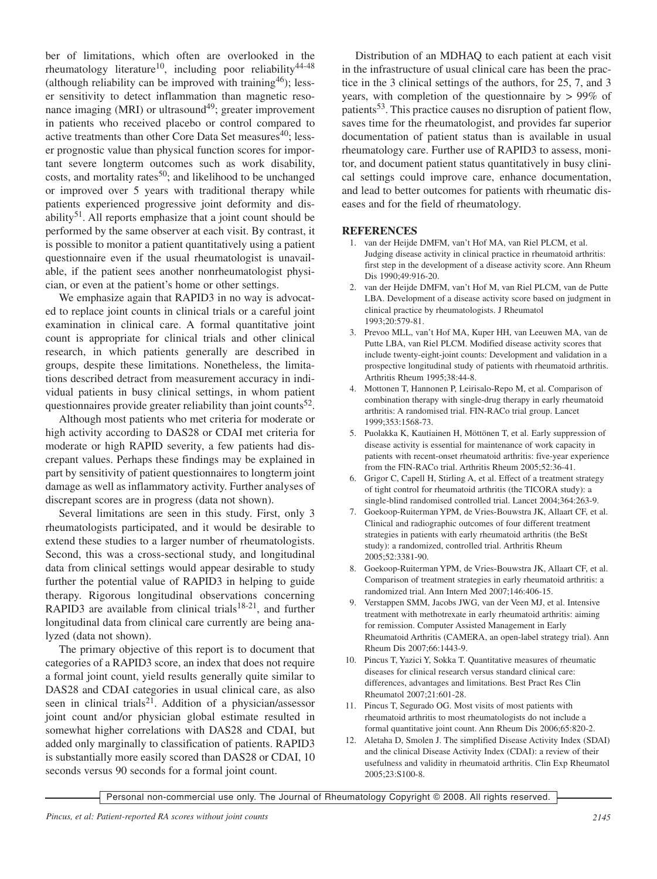ber of limitations, which often are overlooked in the rheumatology literature<sup>10</sup>, including poor reliability<sup>44-48</sup> (although reliability can be improved with training  $46$ ); lesser sensitivity to detect inflammation than magnetic resonance imaging (MRI) or ultrasound<sup>49</sup>; greater improvement in patients who received placebo or control compared to active treatments than other Core Data Set measures<sup>40</sup>; lesser prognostic value than physical function scores for important severe longterm outcomes such as work disability, costs, and mortality rates<sup>50</sup>; and likelihood to be unchanged or improved over 5 years with traditional therapy while patients experienced progressive joint deformity and disability<sup>51</sup>. All reports emphasize that a joint count should be performed by the same observer at each visit. By contrast, it is possible to monitor a patient quantitatively using a patient questionnaire even if the usual rheumatologist is unavailable, if the patient sees another nonrheumatologist physician, or even at the patient's home or other settings.

We emphasize again that RAPID3 in no way is advocated to replace joint counts in clinical trials or a careful joint examination in clinical care. A formal quantitative joint count is appropriate for clinical trials and other clinical research, in which patients generally are described in groups, despite these limitations. Nonetheless, the limitations described detract from measurement accuracy in individual patients in busy clinical settings, in whom patient questionnaires provide greater reliability than joint counts<sup>52</sup>.

Although most patients who met criteria for moderate or high activity according to DAS28 or CDAI met criteria for moderate or high RAPID severity, a few patients had discrepant values. Perhaps these findings may be explained in part by sensitivity of patient questionnaires to longterm joint damage as well as inflammatory activity. Further analyses of discrepant scores are in progress (data not shown).

Several limitations are seen in this study. First, only 3 rheumatologists participated, and it would be desirable to extend these studies to a larger number of rheumatologists. Second, this was a cross-sectional study, and longitudinal data from clinical settings would appear desirable to study further the potential value of RAPID3 in helping to guide therapy. Rigorous longitudinal observations concerning RAPID3 are available from clinical trials<sup>18-21</sup>, and further longitudinal data from clinical care currently are being analyzed (data not shown).

The primary objective of this report is to document that categories of a RAPID3 score, an index that does not require a formal joint count, yield results generally quite similar to DAS28 and CDAI categories in usual clinical care, as also seen in clinical trials<sup>21</sup>. Addition of a physician/assessor joint count and/or physician global estimate resulted in somewhat higher correlations with DAS28 and CDAI, but added only marginally to classification of patients. RAPID3 is substantially more easily scored than DAS28 or CDAI, 10 seconds versus 90 seconds for a formal joint count.

Distribution of an MDHAQ to each patient at each visit in the infrastructure of usual clinical care has been the practice in the 3 clinical settings of the authors, for 25, 7, and 3 years, with completion of the questionnaire by > 99% of patients<sup>53</sup>. This practice causes no disruption of patient flow, saves time for the rheumatologist, and provides far superior documentation of patient status than is available in usual rheumatology care. Further use of RAPID3 to assess, monitor, and document patient status quantitatively in busy clinical settings could improve care, enhance documentation, and lead to better outcomes for patients with rheumatic diseases and for the field of rheumatology.

## **REFERENCES**

- 1. van der Heijde DMFM, van't Hof MA, van Riel PLCM, et al. Judging disease activity in clinical practice in rheumatoid arthritis: first step in the development of a disease activity score. Ann Rheum Dis 1990;49:916-20.
- 2. van der Heijde DMFM, van't Hof M, van Riel PLCM, van de Putte LBA. Development of a disease activity score based on judgment in clinical practice by rheumatologists. J Rheumatol 1993;20:579-81.
- 3. Prevoo MLL, van't Hof MA, Kuper HH, van Leeuwen MA, van de Putte LBA, van Riel PLCM. Modified disease activity scores that include twenty-eight-joint counts: Development and validation in a prospective longitudinal study of patients with rheumatoid arthritis. Arthritis Rheum 1995;38:44-8.
- 4. Mottonen T, Hannonen P, Leirisalo-Repo M, et al. Comparison of combination therapy with single-drug therapy in early rheumatoid arthritis: A randomised trial. FIN-RACo trial group. Lancet 1999;353:1568-73.
- 5. Puolakka K, Kautiainen H, Möttönen T, et al. Early suppression of disease activity is essential for maintenance of work capacity in patients with recent-onset rheumatoid arthritis: five-year experience from the FIN-RACo trial. Arthritis Rheum 2005;52:36-41.
- 6. Grigor C, Capell H, Stirling A, et al. Effect of a treatment strategy of tight control for rheumatoid arthritis (the TICORA study): a single-blind randomised controlled trial. Lancet 2004;364:263-9.
- 7. Goekoop-Ruiterman YPM, de Vries-Bouwstra JK, Allaart CF, et al. Clinical and radiographic outcomes of four different treatment strategies in patients with early rheumatoid arthritis (the BeSt study): a randomized, controlled trial. Arthritis Rheum 2005;52:3381-90.
- 8. Goekoop-Ruiterman YPM, de Vries-Bouwstra JK, Allaart CF, et al. Comparison of treatment strategies in early rheumatoid arthritis: a randomized trial. Ann Intern Med 2007;146:406-15.
- 9. Verstappen SMM, Jacobs JWG, van der Veen MJ, et al. Intensive treatment with methotrexate in early rheumatoid arthritis: aiming for remission. Computer Assisted Management in Early Rheumatoid Arthritis (CAMERA, an open-label strategy trial). Ann Rheum Dis 2007;66:1443-9.
- 10. Pincus T, Yazici Y, Sokka T. Quantitative measures of rheumatic diseases for clinical research versus standard clinical care: differences, advantages and limitations. Best Pract Res Clin Rheumatol 2007;21:601-28.
- 11. Pincus T, Segurado OG. Most visits of most patients with rheumatoid arthritis to most rheumatologists do not include a formal quantitative joint count. Ann Rheum Dis 2006;65:820-2.
- 12. Aletaha D, Smolen J. The simplified Disease Activity Index (SDAI) and the clinical Disease Activity Index (CDAI): a review of their usefulness and validity in rheumatoid arthritis. Clin Exp Rheumatol 2005;23:S100-8.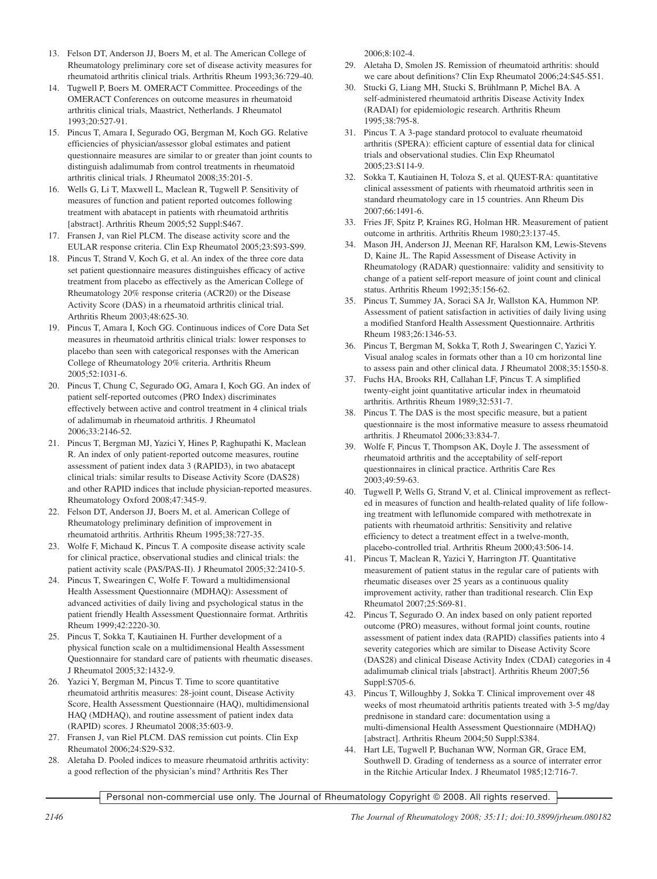- 13. Felson DT, Anderson JJ, Boers M, et al. The American College of Rheumatology preliminary core set of disease activity measures for rheumatoid arthritis clinical trials. Arthritis Rheum 1993;36:729-40.
- 14. Tugwell P, Boers M. OMERACT Committee. Proceedings of the OMERACT Conferences on outcome measures in rheumatoid arthritis clinical trials, Maastrict, Netherlands. J Rheumatol 1993;20:527-91.
- 15. Pincus T, Amara I, Segurado OG, Bergman M, Koch GG. Relative efficiencies of physician/assessor global estimates and patient questionnaire measures are similar to or greater than joint counts to distinguish adalimumab from control treatments in rheumatoid arthritis clinical trials. J Rheumatol 2008;35:201-5.
- 16. Wells G, Li T, Maxwell L, Maclean R, Tugwell P. Sensitivity of measures of function and patient reported outcomes following treatment with abatacept in patients with rheumatoid arthritis [abstract]. Arthritis Rheum 2005;52 Suppl:S467.
- 17. Fransen J, van Riel PLCM. The disease activity score and the EULAR response criteria. Clin Exp Rheumatol 2005;23:S93-S99.
- 18. Pincus T, Strand V, Koch G, et al. An index of the three core data set patient questionnaire measures distinguishes efficacy of active treatment from placebo as effectively as the American College of Rheumatology 20% response criteria (ACR20) or the Disease Activity Score (DAS) in a rheumatoid arthritis clinical trial. Arthritis Rheum 2003;48:625-30.
- 19. Pincus T, Amara I, Koch GG. Continuous indices of Core Data Set measures in rheumatoid arthritis clinical trials: lower responses to placebo than seen with categorical responses with the American College of Rheumatology 20% criteria. Arthritis Rheum 2005;52:1031-6.
- 20. Pincus T, Chung C, Segurado OG, Amara I, Koch GG. An index of patient self-reported outcomes (PRO Index) discriminates effectively between active and control treatment in 4 clinical trials of adalimumab in rheumatoid arthritis. J Rheumatol 2006;33:2146-52.
- 21. Pincus T, Bergman MJ, Yazici Y, Hines P, Raghupathi K, Maclean R. An index of only patient-reported outcome measures, routine assessment of patient index data 3 (RAPID3), in two abatacept clinical trials: similar results to Disease Activity Score (DAS28) and other RAPID indices that include physician-reported measures. Rheumatology Oxford 2008;47:345-9.
- 22. Felson DT, Anderson JJ, Boers M, et al. American College of Rheumatology preliminary definition of improvement in rheumatoid arthritis. Arthritis Rheum 1995;38:727-35.
- 23. Wolfe F, Michaud K, Pincus T. A composite disease activity scale for clinical practice, observational studies and clinical trials: the patient activity scale (PAS/PAS-II). J Rheumatol 2005;32:2410-5.
- 24. Pincus T, Swearingen C, Wolfe F. Toward a multidimensional Health Assessment Questionnaire (MDHAQ): Assessment of advanced activities of daily living and psychological status in the patient friendly Health Assessment Questionnaire format. Arthritis Rheum 1999;42:2220-30.
- 25. Pincus T, Sokka T, Kautiainen H. Further development of a physical function scale on a multidimensional Health Assessment Questionnaire for standard care of patients with rheumatic diseases. J Rheumatol 2005;32:1432-9.
- 26. Yazici Y, Bergman M, Pincus T. Time to score quantitative rheumatoid arthritis measures: 28-joint count, Disease Activity Score, Health Assessment Questionnaire (HAQ), multidimensional HAQ (MDHAQ), and routine assessment of patient index data (RAPID) scores. J Rheumatol 2008;35:603-9.
- 27. Fransen J, van Riel PLCM. DAS remission cut points. Clin Exp Rheumatol 2006;24:S29-S32.
- 28. Aletaha D. Pooled indices to measure rheumatoid arthritis activity: a good reflection of the physician's mind? Arthritis Res Ther

2006;8:102-4.

- 29. Aletaha D, Smolen JS. Remission of rheumatoid arthritis: should we care about definitions? Clin Exp Rheumatol 2006;24:S45-S51.
- 30. Stucki G, Liang MH, Stucki S, Brühlmann P, Michel BA. A self-administered rheumatoid arthritis Disease Activity Index (RADAI) for epidemiologic research. Arthritis Rheum 1995;38:795-8.
- 31. Pincus T. A 3-page standard protocol to evaluate rheumatoid arthritis (SPERA): efficient capture of essential data for clinical trials and observational studies. Clin Exp Rheumatol 2005;23:S114-9.
- 32. Sokka T, Kautiainen H, Toloza S, et al. QUEST-RA: quantitative clinical assessment of patients with rheumatoid arthritis seen in standard rheumatology care in 15 countries. Ann Rheum Dis 2007;66:1491-6.
- 33. Fries JF, Spitz P, Kraines RG, Holman HR. Measurement of patient outcome in arthritis. Arthritis Rheum 1980;23:137-45.
- 34. Mason JH, Anderson JJ, Meenan RF, Haralson KM, Lewis-Stevens D, Kaine JL. The Rapid Assessment of Disease Activity in Rheumatology (RADAR) questionnaire: validity and sensitivity to change of a patient self-report measure of joint count and clinical status. Arthritis Rheum 1992;35:156-62.
- 35. Pincus T, Summey JA, Soraci SA Jr, Wallston KA, Hummon NP. Assessment of patient satisfaction in activities of daily living using a modified Stanford Health Assessment Questionnaire. Arthritis Rheum 1983;26:1346-53.
- 36. Pincus T, Bergman M, Sokka T, Roth J, Swearingen C, Yazici Y. Visual analog scales in formats other than a 10 cm horizontal line to assess pain and other clinical data. J Rheumatol 2008;35:1550-8.
- 37. Fuchs HA, Brooks RH, Callahan LF, Pincus T. A simplified twenty-eight joint quantitative articular index in rheumatoid arthritis. Arthritis Rheum 1989;32:531-7.
- 38. Pincus T. The DAS is the most specific measure, but a patient questionnaire is the most informative measure to assess rheumatoid arthritis. J Rheumatol 2006;33:834-7.
- 39. Wolfe F, Pincus T, Thompson AK, Doyle J. The assessment of rheumatoid arthritis and the acceptability of self-report questionnaires in clinical practice. Arthritis Care Res 2003;49:59-63.
- 40. Tugwell P, Wells G, Strand V, et al. Clinical improvement as reflected in measures of function and health-related quality of life following treatment with leflunomide compared with methotrexate in patients with rheumatoid arthritis: Sensitivity and relative efficiency to detect a treatment effect in a twelve-month, placebo-controlled trial. Arthritis Rheum 2000;43:506-14.
- 41. Pincus T, Maclean R, Yazici Y, Harrington JT. Quantitative measurement of patient status in the regular care of patients with rheumatic diseases over 25 years as a continuous quality improvement activity, rather than traditional research. Clin Exp Rheumatol 2007;25:S69-81.
- 42. Pincus T, Segurado O. An index based on only patient reported outcome (PRO) measures, without formal joint counts, routine assessment of patient index data (RAPID) classifies patients into 4 severity categories which are similar to Disease Activity Score (DAS28) and clinical Disease Activity Index (CDAI) categories in 4 adalimumab clinical trials [abstract]. Arthritis Rheum 2007;56 Suppl:S705-6.
- 43. Pincus T, Willoughby J, Sokka T. Clinical improvement over 48 weeks of most rheumatoid arthritis patients treated with 3-5 mg/day prednisone in standard care: documentation using a multi-dimensional Health Assessment Questionnaire (MDHAQ) [abstract]. Arthritis Rheum 2004;50 Suppl:S384.
- 44. Hart LE, Tugwell P, Buchanan WW, Norman GR, Grace EM, Southwell D. Grading of tenderness as a source of interrater error in the Ritchie Articular Index. J Rheumatol 1985;12:716-7.